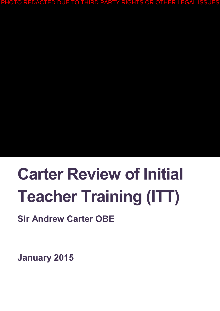PHOTO REDACTED DUE TO THIRD PARTY RIGHTS OR OTHER LEGAL ISSUES

# **Carter Review of Initial Teacher Training (ITT)**

# **Sir Andrew Carter OBE**

**January 2015**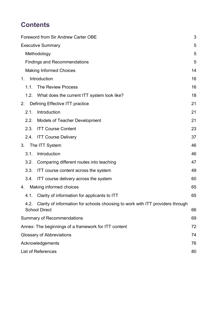# **Contents**

| Foreword from Sir Andrew Carter OBE                  |                                                                                | 3  |
|------------------------------------------------------|--------------------------------------------------------------------------------|----|
| <b>Executive Summary</b>                             |                                                                                | 5  |
| Methodology                                          |                                                                                | 5  |
| <b>Findings and Recommendations</b>                  |                                                                                | 5  |
| <b>Making Informed Choices</b>                       |                                                                                | 14 |
| Introduction<br>$1_{-}$                              |                                                                                | 16 |
| <b>The Review Process</b><br>1.1.                    |                                                                                | 16 |
| 1.2. What does the current ITT system look like?     |                                                                                | 18 |
| Defining Effective ITT practice<br>2.                |                                                                                | 21 |
| Introduction<br>2.1.                                 |                                                                                | 21 |
| 2.2.<br><b>Models of Teacher Development</b>         |                                                                                | 21 |
| <b>ITT Course Content</b><br>2.3.                    |                                                                                | 23 |
| <b>ITT Course Delivery</b><br>2.4.                   |                                                                                | 37 |
| The ITT System<br>3.                                 |                                                                                | 46 |
| Introduction<br>3.1.                                 |                                                                                | 46 |
| 3.2.<br>Comparing different routes into teaching     |                                                                                | 47 |
| 3.3.<br>ITT course content across the system         |                                                                                | 49 |
| 3.4.<br>ITT course delivery across the system        |                                                                                | 60 |
| Making informed choices<br>4.                        |                                                                                | 65 |
| Clarity of information for applicants to ITT<br>4.1. |                                                                                | 65 |
| 4.2.<br><b>School Direct</b>                         | Clarity of information for schools choosing to work with ITT providers through | 66 |
| <b>Summary of Recommendations</b>                    |                                                                                | 69 |
| Annex: The beginnings of a framework for ITT content |                                                                                | 72 |
| <b>Glossary of Abbreviations</b>                     |                                                                                | 74 |
| Acknowledgements                                     |                                                                                | 76 |
| <b>List of References</b>                            |                                                                                | 80 |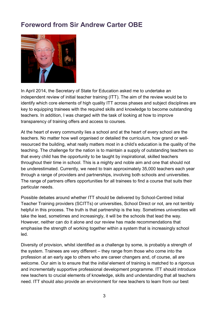## <span id="page-2-0"></span>**Foreword from Sir Andrew Carter OBE**



In April 2014, the Secretary of State for Education asked me to undertake an independent review of initial teacher training (ITT). The aim of the review would be to identify which core elements of high quality ITT across phases and subject disciplines are key to equipping trainees with the required skills and knowledge to become outstanding teachers. In addition, I was charged with the task of looking at how to improve transparency of training offers and access to courses.

At the heart of every community lies a school and at the heart of every school are the teachers. No matter how well organised or detailed the curriculum, how grand or wellresourced the building, what really matters most in a child's education is the quality of the teaching. The challenge for the nation is to maintain a supply of outstanding teachers so that every child has the opportunity to be taught by inspirational, skilled teachers throughout their time in school. This is a mighty and noble aim and one that should not be underestimated. Currently, we need to train approximately 35,000 teachers each year through a range of providers and partnerships, involving both schools and universities. The range of partners offers opportunities for all trainees to find a course that suits their particular needs.

Possible debates around whether ITT should be delivered by School-Centred Initial Teacher Training providers (SCITTs) or universities, School Direct or not, are not terribly helpful in this process. The truth is that partnership is the key. Sometimes universities will take the lead, sometimes and increasingly, it will be the schools that lead the way. However, neither can do it alone and our review has made recommendations that emphasise the strength of working together within a system that is increasingly school led.

Diversity of provision, whilst identified as a challenge by some, is probably a strength of the system. Trainees are very different – they range from those who come into the profession at an early age to others who are career changers and, of course, all are welcome. Our aim is to ensure that the *initial* element of training is matched to a rigorous and incrementally supportive professional development programme. ITT should introduce new teachers to crucial elements of knowledge, skills and understanding that all teachers need. ITT should also provide an environment for new teachers to learn from our best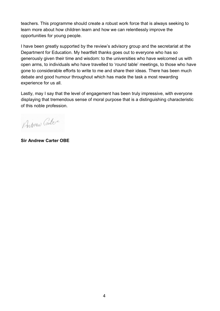teachers. This programme should create a robust work force that is always seeking to learn more about how children learn and how we can relentlessly improve the opportunities for young people.

I have been greatly supported by the review's advisory group and the secretariat at the Department for Education. My heartfelt thanks goes out to everyone who has so generously given their time and wisdom: to the universities who have welcomed us with open arms, to individuals who have travelled to 'round table' meetings, to those who have gone to considerable efforts to write to me and share their ideas. There has been much debate and good humour throughout which has made the task a most rewarding experience for us all.

Lastly, may I say that the level of engagement has been truly impressive, with everyone displaying that tremendous sense of moral purpose that is a distinguishing characteristic of this noble profession.

Andrew Cartere

**Sir Andrew Carter OBE**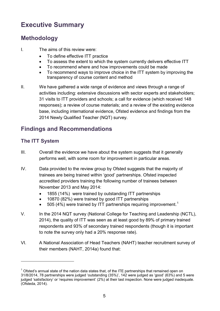# <span id="page-4-0"></span>**Executive Summary**

## <span id="page-4-1"></span>**Methodology**

- I. The aims of this review were:
	- To define effective ITT practice
	- To assess the extent to which the system currently delivers effective ITT
	- To recommend where and how improvements could be made
	- To recommend ways to improve choice in the ITT system by improving the transparency of course content and method
- II. We have gathered a wide range of evidence and views through a range of activities including: extensive discussions with sector experts and stakeholders; 31 visits to ITT providers and schools; a call for evidence (which received 148 responses); a review of course materials; and a review of the existing evidence base, including international evidence, Ofsted evidence and findings from the 2014 Newly Qualified Teacher (NQT) survey.

## <span id="page-4-2"></span>**Findings and Recommendations**

## **The ITT System**

 $\overline{a}$ 

- III. Overall the evidence we have about the system suggests that it generally performs well, with some room for improvement in particular areas.
- IV. Data provided to the review group by Ofsted suggests that the majority of trainees are being trained within 'good' partnerships. Ofsted inspected accredited providers training the following number of trainees between November 2013 and May 2014:
	- 1855 (14%) were trained by outstanding ITT partnerships
	- 10870 (82%) were trained by good ITT partnerships
	- 505 (4%) were trained by ITT partnerships requiring improvement.<sup>[1](#page-4-3)</sup>
- V. In the 2014 NQT survey (National College for Teaching and Leadership (NCTL), 2014), the quality of ITT was seen as at least good by 89% of primary trained respondents and 93% of secondary trained respondents (though it is important to note the survey only had a 20% response rate).
- VI. A National Association of Head Teachers (NAHT) teacher recruitment survey of their members (NAHT, 2014a) found that:

<span id="page-4-3"></span> $<sup>1</sup>$  Ofsted's annual state of the nation data states that, of the ITE partnerships that remained open on</sup> 31/8/2014, 78 partnerships were judged 'outstanding (35%)', 142 were judged as 'good' (63%) and 5 were judged 'satisfactory' or 'requires improvement' (2%) at their last inspection. None were judged inadequate. (Ofsteda, 2014).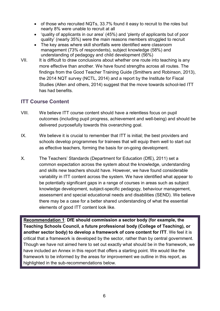- of those who recruited NQTs, 33.7% found it easy to recruit to the roles but nearly 8% were unable to recruit at all
- 'quality of applicants in our area' (45%) and 'plenty of applicants but of poor quality' (nearly 35%) were the main reasons members struggled to recruit
- The key areas where skill shortfalls were identified were classroom management (73% of respondents), subject knowledge (58%) and understanding of pedagogy and child development (56%)
- VII. It is difficult to draw conclusions about whether one route into teaching is any more effective than another. We have found strengths across all routes. The findings from the Good Teacher Training Guide (Smithers and Robinson, 2013), the 2014 NQT survey (NCTL, 2014) and a report by the Institute for Fiscal Studies (Allen and others, 2014) suggest that the move towards school-led ITT has had benefits.

## **ITT Course Content**

- VIII. We believe ITT course content should have a relentless focus on pupil outcomes (including pupil progress, achievement and well-being) and should be delivered purposefully towards this overarching goal.
- IX. We believe it is crucial to remember that ITT is initial; the best providers and schools develop programmes for trainees that will equip them well to start out as effective teachers, forming the basis for on-going development.
- X. The Teachers' Standards (Department for Education (DfE), 2011) set a common expectation across the system about the knowledge, understanding and skills new teachers should have. However, we have found considerable variability in ITT content across the system. We have identified what appear to be potentially significant gaps in a range of courses in areas such as subject knowledge development, subject-specific pedagogy, behaviour management, assessment and special educational needs and disabilities (SEND). We believe there may be a case for a better shared understanding of what the essential elements of good ITT content look like.

**Recommendation 1**: **DfE should commission a sector body (for example, the Teaching Schools Council, a future professional body (College of Teaching), or another sector body) to develop a framework of core content for ITT**. We feel it is critical that a framework is developed by the sector, rather than by central government. Though we have not aimed here to set out exactly what should be in the framework, we have included an Annex in this report that offers a starting point. We would like the framework to be informed by the areas for improvement we outline in this report, as highlighted in the sub-recommendations below.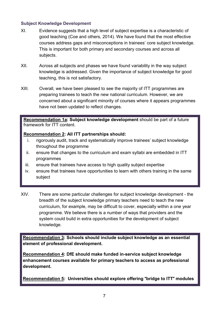#### **Subject Knowledge Development**

- XI. Evidence suggests that a high level of subject expertise is a characteristic of good teaching (Coe and others, 2014). We have found that the most effective courses address gaps and misconceptions in trainees' core subject knowledge. This is important for both primary and secondary courses and across all subjects.
- XII. Across all subjects and phases we have found variability in the way subject knowledge is addressed. Given the importance of subject knowledge for good teaching, this is not satisfactory.
- XIII. Overall, we have been pleased to see the majority of ITT programmes are preparing trainees to teach the new national curriculum. However, we are concerned about a significant minority of courses where it appears programmes have not been updated to reflect changes.

#### **Recommendation 1a: Subject knowledge development** should be part of a future framework for ITT content.

#### **Recommendation 2: All ITT partnerships should:**

- i. rigorously audit, track and systematically improve trainees' subject knowledge throughout the programme
- ii. ensure that changes to the curriculum and exam syllabi are embedded in ITT programmes
- iii. ensure that trainees have access to high quality subject expertise
- iv. ensure that trainees have opportunities to learn with others training in the same subject
- XIV. There are some particular challenges for subject knowledge development the breadth of the subject knowledge primary teachers need to teach the new curriculum, for example, may be difficult to cover, especially within a one year programme. We believe there is a number of ways that providers and the system could build in extra opportunities for the development of subject knowledge.

**Recommendation 3: Schools should include subject knowledge as an essential element of professional development.**

**Recommendation 4: DfE should make funded in-service subject knowledge enhancement courses available for primary teachers to access as professional development.**

**Recommendation 5: Universities should explore offering** "**bridge to ITT**" **modules**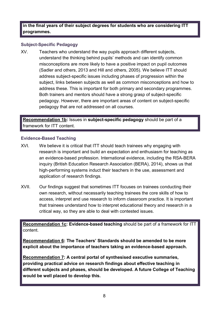**in the final years of their subject degrees for students who are considering ITT programmes.**

#### **Subject-Specific Pedagogy**

XV. Teachers who understand the way pupils approach different subjects, understand the thinking behind pupils' methods and can identify common misconceptions are more likely to have a positive impact on pupil outcomes (Sadler and others, 2013 and Hill and others, 2005). We believe ITT should address subject-specific issues including phases of progression within the subject, links between subjects as well as common misconceptions and how to address these. This is important for both primary and secondary programmes. Both trainers and mentors should have a strong grasp of subject-specific pedagogy. However, there are important areas of content on subject-specific pedagogy that are not addressed on all courses.

**Recommendation 1b:** Issues in **subject-specific pedagogy** should be part of a framework for ITT content.

#### **Evidence-Based Teaching**

- XVI. We believe it is critical that ITT should teach trainees why engaging with research is important and build an expectation and enthusiasm for teaching as an evidence-based profession. International evidence, including the RSA-BERA inquiry (British Education Research Association (BERA), 2014), shows us that high-performing systems induct their teachers in the use, assessment and application of research findings.
- XVII. Our findings suggest that sometimes ITT focuses on trainees conducting their own research, without necessarily teaching trainees the core skills of how to access, interpret and use research to inform classroom practice. It is important that trainees understand how to interpret educational theory and research in a critical way, so they are able to deal with contested issues.

**Recommendation 1c: Evidence-based teaching** should be part of a framework for ITT content.

**Recommendation 6: The Teachers' Standards should be amended to be more explicit about the importance of teachers taking an evidence-based approach.** 

**Recommendation 7: A central portal of synthesised executive summaries, providing practical advice on research findings about effective teaching in different subjects and phases, should be developed. A future College of Teaching would be well placed to develop this.**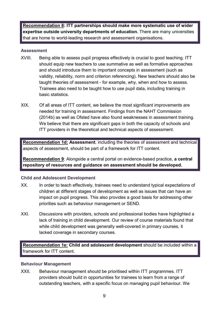**Recommendation 8: ITT partnerships should make more systematic use of wider expertise outside university departments of education.** There are many universities that are home to world-leading research and assessment organisations.

#### **Assessment**

- XVIII. Being able to assess pupil progress effectively is crucial to good teaching. ITT should equip new teachers to use summative as well as formative approaches and should introduce them to important concepts in assessment (such as validity, reliability, norm and criterion referencing). New teachers should also be taught theories of assessment - for example, why, when and how to assess. Trainees also need to be taught how to use pupil data, including training in basic statistics.
- XIX. Of all areas of ITT content, we believe the most significant improvements are needed for training in assessment. Findings from the NAHT Commission (2014b) as well as Ofsted have also found weaknesses in assessment training. We believe that there are significant gaps in both the capacity of schools and ITT providers in the theoretical and technical aspects of assessment.

**Recommendation 1d: Assessment**, including the theories of assessment and technical aspects of assessment, should be part of a framework for ITT content.

**Recommendation 9**: Alongside a central portal on evidence-based practice, **a central repository of resources and guidance on assessment should be developed.** 

#### **Child and Adolescent Development**

- XX. In order to teach effectively, trainees need to understand typical expectations of children at different stages of development as well as issues that can have an impact on pupil progress. This also provides a good basis for addressing other priorities such as behaviour management or SEND.
- XXI. Discussions with providers, schools and professional bodies have highlighted a lack of training in child development. Our review of course materials found that while child development was generally well-covered in primary courses, it lacked coverage in secondary courses.

**Recommendation 1e: Child and adolescent development** should be included within a framework for ITT content.

#### **Behaviour Management**

XXII. Behaviour management should be prioritised within ITT programmes. ITT providers should build in opportunities for trainees to learn from a range of outstanding teachers, with a specific focus on managing pupil behaviour. We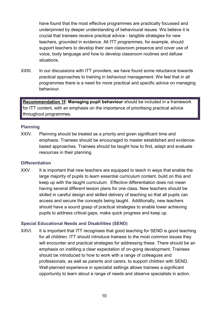have found that the most effective programmes are practically focussed and underpinned by deeper understanding of behavioural issues. We believe it is crucial that trainees receive practical advice - tangible strategies for new teachers, grounded in evidence. All ITT programmes, for example, should support teachers to develop their own classroom presence and cover use of voice, body language and how to develop classroom routines and defuse situations.

XXIII. In our discussions with ITT providers, we have found some reluctance towards practical approaches to training in behaviour management. We feel that in all programmes there is a need for more practical and specific advice on managing behaviour.

**Recommendation 1f: Managing pupil behaviour** should be included in a framework for ITT content, with an emphasis on the importance of prioritising practical advice throughout programmes.

#### **Planning**

XXIV. Planning should be treated as a priority and given significant time and emphasis. Trainees should be encouraged to master established and evidencebased approaches. Trainees should be taught how to find, adapt and evaluate resources in their planning.

#### **Differentiation**

XXV. It is important that new teachers are equipped to teach in ways that enable the large majority of pupils to learn essential curriculum content, build on this and keep up with the taught curriculum. Effective differentiation does not mean having several different lesson plans for one class. New teachers should be skilled in careful design and skilled delivery of teaching so that all pupils can access and secure the concepts being taught. Additionally, new teachers should have a sound grasp of practical strategies to enable lower achieving pupils to address critical gaps, make quick progress and keep up.

#### **Special Educational Needs and Disabilities (SEND)**

XXVI. It is important that ITT recognises that good teaching for SEND is good teaching for all children. ITT should introduce trainees to the most common issues they will encounter and practical strategies for addressing these. There should be an emphasis on instilling a clear expectation of on-going development. Trainees should be introduced to how to work with a range of colleagues and professionals, as well as parents and carers, to support children with SEND. Well-planned experience in specialist settings allows trainees a significant opportunity to learn about a range of needs and observe specialists in action.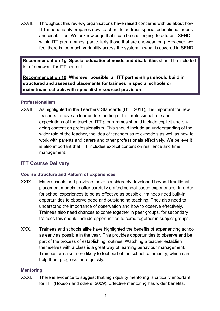XXVII. Throughout this review, organisations have raised concerns with us about how ITT inadequately prepares new teachers to address special educational needs and disabilities. We acknowledge that it can be challenging to address SEND within ITT programmes, particularly those that are one-year long. However, we feel there is too much variability across the system in what is covered in SEND.

**Recommendation 1g**: **Special educational needs and disabilities** should be included in a framework for ITT content.

**Recommendation 10: Wherever possible, all ITT partnerships should build in structured and assessed placements for trainees in special schools or mainstream schools with specialist resourced provision**.

#### **Professionalism**

XXVIII. As highlighted in the Teachers' Standards (DfE, 2011), it is important for new teachers to have a clear understanding of the professional role and expectations of the teacher. ITT programmes should include explicit and ongoing content on professionalism. This should include an understanding of the wider role of the teacher, the idea of teachers as role-models as well as how to work with parents and carers and other professionals effectively. We believe it is also important that ITT includes explicit content on resilience and time management.

## **ITT Course Delivery**

#### **Course Structure and Pattern of Experiences**

- XXIX. Many schools and providers have considerably developed beyond traditional placement models to offer carefully crafted school-based experiences. In order for school experiences to be as effective as possible, trainees need built-in opportunities to observe good and outstanding teaching. They also need to understand the importance of observation and how to observe effectively. Trainees also need chances to come together in peer groups, for secondary trainees this should include opportunities to come together in subject groups.
- XXX. Trainees and schools alike have highlighted the benefits of experiencing school as early as possible in the year. This provides opportunities to observe and be part of the process of establishing routines. Watching a teacher establish themselves with a class is a great way of learning behaviour management. Trainees are also more likely to feel part of the school community, which can help them progress more quickly.

#### **Mentoring**

XXXI. There is evidence to suggest that high quality mentoring is critically important for ITT (Hobson and others, 2009). Effective mentoring has wider benefits,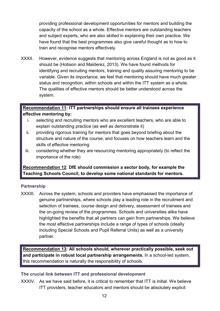providing professional development opportunities for mentors and building the capacity of the school as a whole. Effective mentors are outstanding teachers and subject experts, who are also skilled in explaining their own practice. We have found that the best programmes also give careful thought as to how to train and recognise mentors effectively.

XXXII. However, evidence suggests that mentoring across England is not as good as it should be (Hobson and Malderez, 2013). We have found methods for identifying and recruiting mentors, training and quality assuring mentoring to be variable. Given its importance, we feel that mentoring should have much greater status and recognition, within schools and within the ITT system as a whole. The qualities of effective mentors should be better understood across the system.

#### **Recommendation 11: ITT partnerships should ensure all trainees experience effective mentoring by:**

- i. selecting and recruiting mentors who are excellent teachers, who are able to explain outstanding practice (as well as demonstrate it)
- ii. providing rigorous training for mentors that goes beyond briefing about the structure and nature of the course, and focuses on how teachers learn and the skills of effective mentoring
- iii. considering whether they are resourcing mentoring appropriately (to reflect the importance of the role)

**Recommendation 12**: **DfE should commission a sector body, for example the Teaching Schools Council, to develop some national standards for mentors.**

#### **Partnership**

XXXIII. Across the system, schools and providers have emphasised the importance of genuine partnerships, where schools play a leading role in the recruitment and selection of trainees, course design and delivery, assessment of trainees and the on-going review of the programmes. Schools and universities alike have highlighted the benefits that all partners can gain from partnerships. We believe the most effective partnerships include a range of types of schools (ideally including Special Schools and Pupil Referral Units) as well as a university partner.

**Recommendation 13: All schools should, wherever practically possible, seek out and participate in robust local partnership arrangements.** In a school-led system, this recommendation is naturally the responsibility of schools.

#### **The crucial link between ITT and professional development**

XXXIV. As we have said before, it is critical to remember that ITT is initial. We believe ITT providers, teacher educators and mentors should be absolutely explicit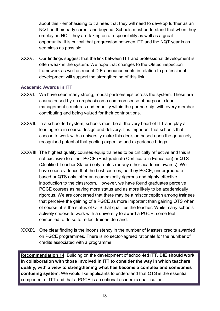about this - emphasising to trainees that they will need to develop further as an NQT, in their early career and beyond. Schools must understand that when they employ an NQT they are taking on a responsibility as well as a great opportunity. It is critical that progression between ITT and the NQT year is as seamless as possible.

XXXV. Our findings suggest that the link between ITT and professional development is often weak in the system. We hope that changes to the Ofsted inspection framework as well as recent DfE announcements in relation to professional development will support the strengthening of this link.

#### **Academic Awards in ITT**

- XXXVI. We have seen many strong, robust partnerships across the system. These are characterised by an emphasis on a common sense of purpose, clear management structures and equality within the partnership, with every member contributing and being valued for their contributions.
- XXXVII. In a school-led system, schools must be at the very heart of ITT and play a leading role in course design and delivery. It is important that schools that choose to work with a university make this decision based upon the genuinely recognised potential that pooling expertise and experience brings.
- XXXVIII. The highest quality courses equip trainees to be critically reflective and this is not exclusive to either PGCE (Postgraduate Certificate in Education) or QTS (Qualified Teacher Status) only routes (or any other academic awards). We have seen evidence that the best courses, be they PGCE, undergraduate based or QTS only, offer an academically rigorous and highly effective introduction to the classroom. However, we have found graduates perceive PGCE courses as having more status and as more likely to be academically rigorous. We are concerned that there may be a misconception among trainees that perceive the gaining of a PGCE as more important than gaining QTS when, of course, it is the status of QTS that qualifies the teacher. While many schools actively choose to work with a university to award a PGCE, some feel compelled to do so to reflect trainee demand.
- XXXIX. One clear finding is the inconsistency in the number of Masters credits awarded on PGCE programmes. There is no sector-agreed rationale for the number of credits associated with a programme.

**Recommendation 14**: Building on the development of school-led ITT, **DfE should work in collaboration with those involved in ITT to consider the way in which teachers qualify, with a view to strengthening what has become a complex and sometimes confusing system.** We would like applicants to understand that QTS is the essential component of ITT and that a PGCE is an optional academic qualification.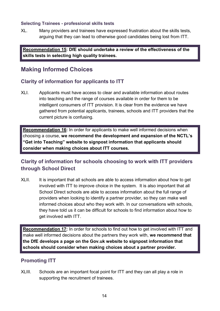#### **Selecting Trainees - professional skills tests**

XL. Many providers and trainees have expressed frustration about the skills tests, arguing that they can lead to otherwise good candidates being lost from ITT.

**Recommendation 15: DfE should undertake a review of the effectiveness of the skills tests in selecting high quality trainees.**

## <span id="page-13-0"></span>**Making Informed Choices**

## **Clarity of information for applicants to ITT**

XLI. Applicants must have access to clear and available information about routes into teaching and the range of courses available in order for them to be intelligent consumers of ITT provision. It is clear from the evidence we have gathered from potential applicants, trainees, schools and ITT providers that the current picture is confusing.

**Recommendation 16:** In order for applicants to make well informed decisions when choosing a course, **we recommend the development and expansion of the NCTL's "Get into Teaching" website to signpost information that applicants should consider when making choices about ITT courses.**

## **Clarity of information for schools choosing to work with ITT providers through School Direct**

XLII. It is important that all schools are able to access information about how to get involved with ITT to improve choice in the system. It is also important that all School Direct schools are able to access information about the full range of providers when looking to identify a partner provider, so they can make well informed choices about who they work with. In our conversations with schools, they have told us it can be difficult for schools to find information about how to get involved with ITT.

**Recommendation 17:** In order for schools to find out how to get involved with ITT and make well informed decisions about the partners they work with, **we recommend that the DfE develops a page on the Gov.uk website to signpost information that schools should consider when making choices about a partner provider.**

## **Promoting ITT**

XLIII. Schools are an important focal point for ITT and they can all play a role in supporting the recruitment of trainees.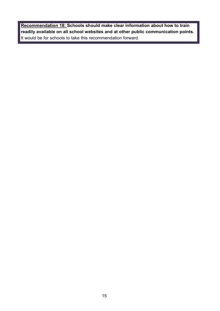**Recommendation 18: Schools should make clear information about how to train readily available on all school websites and at other public communication points.** It would be for schools to take this recommendation forward.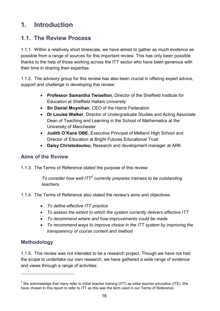# <span id="page-15-0"></span>**1. Introduction**

## <span id="page-15-1"></span>**1.1. The Review Process**

1.1.1. Within a relatively short timescale, we have aimed to gather as much evidence as possible from a range of sources for this important review. This has only been possible thanks to the help of those working across the ITT sector who have been generous with their time in sharing their expertise.

1.1.2. The advisory group for this review has also been crucial in offering expert advice, support and challenge in developing this review:

- **Professor Samantha Twiselton**, Director of the Sheffield Institute for Education at Sheffield Hallam University
- **Sir Daniel Moynihan**, CEO of the Harris Federation
- **Dr Louise Walker**, Director of Undergraduate Studies and Acting Associate Dean of Teaching and Learning in the School of Mathematics at the University of Manchester
- **Judith O'Kane OBE**, Executive Principal of Melland High School and Director of Education at Bright Futures Educational Trust
- **Daisy Christodoulou**, Research and development manager at ARK

## **Aims of the Review**

1.1.3. The Terms of Reference stated the purpose of this review:

*To consider how well ITT[2](#page-15-2) currently prepares trainees to be outstanding teachers.*

- 1.1.4. The Terms of Reference also stated the review's aims and objectives:
	- *To define effective ITT practice*
	- *To assess the extent to which the system currently delivers effective ITT*
	- *To recommend where and how improvements could be made*
	- *To recommend ways to improve choice in the ITT system by improving the transparency of course content and method*

## **Methodology**

 $\overline{a}$ 

1.1.5. This review was not intended to be a research project. Though we have not had the scope to undertake our own research, we have gathered a wide range of evidence and views through a range of activities:

<span id="page-15-2"></span> $2$  We acknowledge that many refer to initial teacher training (ITT) as initial teacher education (ITE). We have chosen in this report to refer to ITT as this was the term used in our Terms of Reference.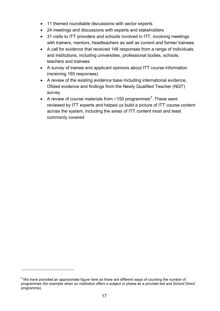- 11 themed roundtable discussions with sector experts
- 24 meetings and discussions with experts and stakeholders
- 31 visits to ITT providers and schools involved in ITT, involving meetings with trainers, mentors, headteachers as well as current and former trainees
- A call for evidence that received 148 responses from a range of individuals and institutions, including universities, professional bodies, schools, teachers and trainees
- A survey of trainee and applicant opinions about ITT course information (receiving 165 responses)
- A review of the existing evidence base including international evidence, Ofsted evidence and findings from the Newly Qualified Teacher (NQT) survey
- A review of course materials from  $\sim$ 150 programmes<sup>[3](#page-16-0)</sup>. These were reviewed by ITT experts and helped us build a picture of ITT course content across the system, including the areas of ITT content most and least commonly covered

 $\overline{a}$ 

<span id="page-16-0"></span> $3$  We have provided an approximate figure here as there are different ways of counting the number of programmes (for example when an institution offers a subject or phase as a provider-led and School Direct programme).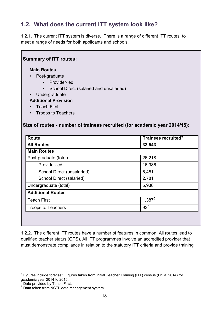## <span id="page-17-0"></span>**1.2. What does the current ITT system look like?**

1.2.1. The current ITT system is diverse. There is a range of different ITT routes, to meet a range of needs for both applicants and schools.

| <b>Main Routes</b><br>Post-graduate<br>• Provider-led<br>School Direct (salaried and unsalaried)<br>Undergraduate<br><b>Additional Provision</b><br><b>Teach First</b><br><b>Troops to Teachers</b><br>Size of routes - number of trainees recruited (for academic year 2014/15): |                                 |
|-----------------------------------------------------------------------------------------------------------------------------------------------------------------------------------------------------------------------------------------------------------------------------------|---------------------------------|
|                                                                                                                                                                                                                                                                                   |                                 |
| <b>Route</b>                                                                                                                                                                                                                                                                      | Trainees recruited <sup>4</sup> |
| <b>All Routes</b>                                                                                                                                                                                                                                                                 | 32,543                          |
| <b>Main Routes</b>                                                                                                                                                                                                                                                                |                                 |
| Post-graduate (total)                                                                                                                                                                                                                                                             | 26,218                          |
| Provider-led                                                                                                                                                                                                                                                                      | 16,986                          |
| School Direct (unsalaried)                                                                                                                                                                                                                                                        | 6,451                           |
| School Direct (salaried)                                                                                                                                                                                                                                                          | 2,781                           |
| Undergraduate (total)                                                                                                                                                                                                                                                             | 5,938                           |
| <b>Additional Routes</b>                                                                                                                                                                                                                                                          |                                 |
| <b>Teach First</b>                                                                                                                                                                                                                                                                | $1,387^5$                       |

1.2.2. The different ITT routes have a number of features in common. All routes lead to qualified teacher status (QTS). All ITT programmes involve an accredited provider that must demonstrate compliance in relation to the statutory ITT criteria and provide training

 $\overline{a}$ 

 $\blacksquare$ 

<span id="page-17-1"></span><sup>4</sup> Figures include forecast. Figures taken from Initial Teacher Training (ITT) census (DfEa, 2014) for academic year 2014 to 2015.<br> $\frac{5}{6}$  Data provided by Teach First.

<span id="page-17-3"></span><span id="page-17-2"></span> $6$  Data taken from NCTL data management system.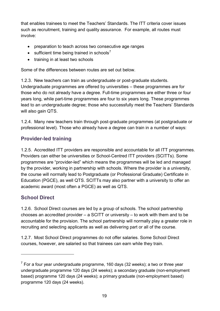that enables trainees to meet the Teachers' Standards. The ITT criteria cover issues such as recruitment, training and quality assurance. For example, all routes must involve:

- preparation to teach across two consecutive age ranges
- sufficient time being trained in schools<sup>[7](#page-18-0)</sup>
- training in at least two schools

Some of the differences between routes are set out below.

1.2.3. New teachers can train as undergraduate or post-graduate students. Undergraduate programmes are offered by universities – these programmes are for those who do not already have a degree. Full-time programmes are either three or four years long, while part-time programmes are four to six years long. These programmes lead to an undergraduate degree; those who successfully meet the Teachers' Standards will also gain QTS.

1.2.4. Many new teachers train through post-graduate programmes (at postgraduate or professional level). Those who already have a degree can train in a number of ways:

## **Provider-led training**

1.2.5. Accredited ITT providers are responsible and accountable for all ITT programmes. Providers can either be universities or School-Centred ITT providers (SCITTs). Some programmes are "provider-led" which means the programmes will be led and managed by the provider, working in partnership with schools. Where the provider is a university, the course will normally lead to Postgraduate (or Professional Graduate) Certificate in Education (PGCE), as well QTS. SCITTs may also partner with a university to offer an academic award (most often a PGCE) as well as QTS.

## **School Direct**

 $\overline{a}$ 

1.2.6. School Direct courses are led by a group of schools. The school partnership chooses an accredited provider – a SCITT or university – to work with them and to be accountable for the provision. The school partnership will normally play a greater role in recruiting and selecting applicants as well as delivering part or all of the course.

1.2.7. Most School Direct programmes do not offer salaries. Some School Direct courses, however, are salaried so that trainees can earn while they train.

<span id="page-18-0"></span> $7$  For a four year undergraduate programme, 160 days (32 weeks); a two or three year undergraduate programme 120 days (24 weeks); a secondary graduate (non-employment based) programme 120 days (24 weeks); a primary graduate (non-employment based) programme 120 days (24 weeks).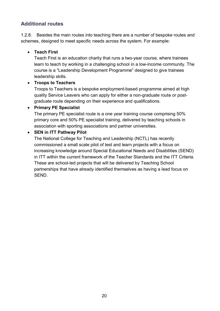## **Additional routes**

1.2.8. Besides the main routes into teaching there are a number of bespoke routes and schemes, designed to meet specific needs across the system. For example:

#### • **Teach First**

Teach First is an education charity that runs a two-year course, where trainees learn to teach by working in a challenging school in a low-income community. The course is a "Leadership Development Programme" designed to give trainees leadership skills.

#### • **Troops to Teachers**

Troops to Teachers is a bespoke employment-based programme aimed at high quality Service Leavers who can apply for either a non-graduate route or postgraduate route depending on their experience and qualifications.

#### • **Primary PE Specialist**

The primary PE specialist route is a one year training course comprising 50% primary core and 50% PE specialist training, delivered by teaching schools in association with sporting associations and partner universities.

#### • **SEN in ITT Pathway Pilot**

The National College for Teaching and Leadership (NCTL) has recently commissioned a small scale pilot of test and learn projects with a focus on increasing knowledge around Special Educational Needs and Disabilities (SEND) in ITT within the current framework of the Teacher Standards and the ITT Criteria. These are school-led projects that will be delivered by Teaching School partnerships that have already identified themselves as having a lead focus on SEND.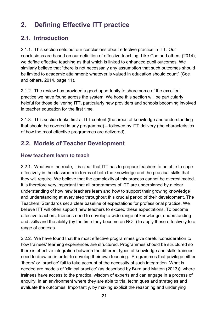# <span id="page-20-0"></span>**2. Defining Effective ITT practice**

## <span id="page-20-1"></span>**2.1. Introduction**

2.1.1. This section sets out our conclusions about effective practice in ITT. Our conclusions are based on our definition of effective teaching. Like Coe and others (2014), we define effective teaching as that which is linked to enhanced pupil outcomes. We similarly believe that "there is not necessarily any assumption that such outcomes should be limited to academic attainment: whatever is valued in education should count" (Coe and others, 2014, page 11).

2.1.2. The review has provided a good opportunity to share some of the excellent practice we have found across the system. We hope this section will be particularly helpful for those delivering ITT, particularly new providers and schools becoming involved in teacher education for the first time.

2.1.3. This section looks first at ITT content (the areas of knowledge and understanding that should be covered in any programme) – followed by ITT delivery (the characteristics of how the most effective programmes are delivered).

## <span id="page-20-2"></span>**2.2. Models of Teacher Development**

## **How teachers learn to teach**

2.2.1. Whatever the route, it is clear that ITT has to prepare teachers to be able to cope effectively in the classroom in terms of both the knowledge and the practical skills that they will require. We believe that the complexity of this process cannot be overestimated. It is therefore very important that all programmes of ITT are underpinned by a clear understanding of how new teachers learn and how to support their growing knowledge and understanding at every step throughout this crucial period of their development. The Teachers' Standards set a clear baseline of expectations for professional practice. We believe ITT will often support new teachers to exceed these expectations. To become effective teachers, trainees need to develop a wide range of knowledge, understanding and skills and the ability (by the time they become an NQT) to apply these effectively to a range of contexts.

2.2.2. We have found that the most effective programmes give careful consideration to how trainees' learning experiences are structured. Programmes should be structured so there is effective integration between the different types of knowledge and skills trainees need to draw on in order to develop their own teaching. Programmes that privilege either 'theory' or 'practice' fail to take account of the necessity of such integration. What is needed are models of 'clinical practice' (as described by Burn and Mutton (2013)), where trainees have access to the practical wisdom of experts and can engage in a process of enquiry, in an environment where they are able to trial techniques and strategies and evaluate the outcomes. Importantly, by making explicit the reasoning and underlying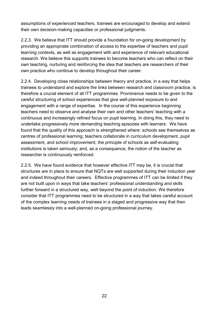assumptions of experienced teachers, trainees are encouraged to develop and extend their own decision-making capacities or professional judgments.

2.2.3. We believe that ITT should provide a foundation for on-going development by providing an appropriate combination of access to the expertise of teachers and pupil learning contexts, as well as engagement with and experience of relevant educational research. We believe this supports trainees to become teachers who can reflect on their own teaching, nurturing and reinforcing the idea that teachers are researchers of their own practice who continue to develop throughout their career.

2.2.4. Developing close relationships between theory and practice, in a way that helps trainees to understand and explore the links between research and classroom practice, is therefore a crucial element of all ITT programmes. Prominence needs to be given to the careful structuring of school experiences that give well-planned exposure to and engagement with a range of expertise. In the course of this experience beginning teachers need to observe and analyse their own and other teachers' teaching with a continuous and increasingly refined focus on pupil learning. In doing this, they need to undertake progressively more demanding teaching episodes with learners. We have found that the quality of this approach is strengthened where: schools see themselves as centres of professional learning; teachers collaborate in curriculum development, pupil assessment, and school improvement; the principle of schools as self-evaluating institutions is taken seriously; and, as a consequence, the notion of the teacher as researcher is continuously reinforced.

2.2.5. We have found evidence that however effective ITT may be, it is crucial that structures are in place to ensure that NQTs are well supported during their induction year and indeed throughout their careers. Effective programmes of ITT can be limited if they are not built upon in ways that take teachers' professional understanding and skills further forward in a structured way, well beyond the point of induction. We therefore consider that ITT programmes need to be structured in a way that takes careful account of the complex learning needs of trainees in a staged and progressive way that then leads seamlessly into a well-planned on-going professional journey.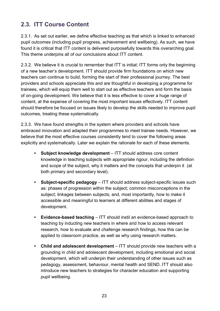## <span id="page-22-0"></span>**2.3. ITT Course Content**

2.3.1. As set out earlier, we define effective teaching as that which is linked to enhanced pupil outcomes (including pupil progress, achievement and wellbeing). As such, we have found it is critical that ITT content is delivered purposefully towards this overarching goal. This theme underpins all of our conclusions about ITT content.

2.3.2. We believe it is crucial to remember that ITT is initial; ITT forms only the beginning of a new teacher's development. ITT should provide firm foundations on which new teachers can continue to build, forming the start of their professional journey. The best providers and schools appreciate this and are thoughtful in developing a programme for trainees, which will equip them well to start out as effective teachers and form the basis of on-going development. We believe that it is less effective to cover a huge range of content, at the expense of covering the most important issues effectively. ITT content should therefore be focused on issues likely to develop the skills needed to improve pupil outcomes, treating these systematically.

2.3.3. We have found strengths in the system where providers and schools have embraced innovation and adapted their programmes to meet trainee needs. However, we believe that the most effective courses consistently tend to cover the following areas explicitly and systematically. Later we explain the rationale for each of these elements.

- **• Subject knowledge development** ITT should address core content knowledge in teaching subjects with appropriate rigour, including the definition and scope of the subject, why it matters and the concepts that underpin it (at both primary and secondary level).
- **• Subject-specific pedagogy**  ITT should address subject-specific issues such as: phases of progression within the subject; common misconceptions in the subject; linkages between subjects; and, most importantly, how to make it accessible and meaningful to learners at different abilities and stages of development.
- **• Evidence-based teaching**  ITT should instil an evidence-based approach to teaching by inducting new teachers in where and how to access relevant research, how to evaluate and challenge research findings, how this can be applied to classroom practice, as well as why using research matters.
- **• Child and adolescent development** ITT should provide new teachers with a grounding in child and adolescent development, including emotional and social development, which will underpin their understanding of other issues such as pedagogy, assessment, behaviour, mental health and SEND. ITT should also introduce new teachers to strategies for character education and supporting pupil wellbeing.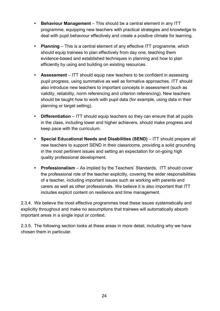- **• Behaviour Management**  This should be a central element in any ITT programme, equipping new teachers with practical strategies and knowledge to deal with pupil behaviour effectively and create a positive climate for learning.
- **• Planning** This is a central element of any effective ITT programme, which should equip trainees to plan effectively from day one, teaching them evidence-based and established techniques in planning and how to plan efficiently by using and building on existing resources.
- **• Assessment** ITT should equip new teachers to be confident in assessing pupil progress, using summative as well as formative approaches. ITT should also introduce new teachers to important concepts in assessment (such as validity, reliability, norm referencing and criterion referencing). New teachers should be taught how to work with pupil data (for example, using data in their planning or target setting).
- **Differentiation** ITT should equip teachers so they can ensure that all pupils in the class, including lower and higher achievers, should make progress and keep pace with the curriculum.
- **• Special Educational Needs and Disabilities (SEND)** ITT should prepare all new teachers to support SEND in their classrooms, providing a solid grounding in the most pertinent issues and setting an expectation for on-going high quality professional development.
- **• Professionalism**  As implied by the Teachers' Standards, ITT should cover the professional role of the teacher explicitly, covering the wider responsibilities of a teacher, including important issues such as working with parents and carers as well as other professionals. We believe it is also important that ITT includes explicit content on resilience and time management.

2.3.4. We believe the most effective programmes treat these issues systematically and explicitly throughout and make no assumptions that trainees will automatically absorb important areas in a single input or context.

2.3.5. The following section looks at these areas in more detail, including why we have chosen them in particular.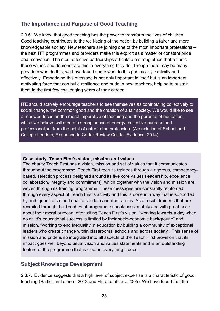## **The Importance and Purpose of Good Teaching**

2.3.6. We know that good teaching has the power to transform the lives of children. Good teaching contributes to the well-being of the nation by building a fairer and more knowledgeable society. New teachers are joining one of the most important professions – the best ITT programmes and providers make this explicit as a matter of constant pride and motivation. The most effective partnerships articulate a strong ethos that reflects these values and demonstrate this in everything they do. Though there may be many providers who do this, we have found some who do this particularly explicitly and effectively. Embedding this message is not only important in itself but is an important motivating force that can build resilience and pride in new teachers, helping to sustain them in the first few challenging years of their career.

ITE should actively encourage teachers to see themselves as contributing collectively to social change, the common good and the creation of a fair society. We would like to see a renewed focus on the moral imperative of teaching and the purpose of education, which we believe will create a strong sense of energy, collective purpose and professionalism from the point of entry to the profession. (Association of School and College Leaders, Response to Carter Review Call for Evidence, 2014).

#### **Case study: Teach First's vision, mission and values**

The charity Teach First has a vision, mission and set of values that it communicates throughout the programme. Teach First recruits trainees through a rigorous, competencybased, selection process designed around its five core values (leadership, excellence, collaboration, integrity and commitment), which together with the vision and mission are woven through its training programme. These messages are constantly reinforced through every aspect of Teach First's activity and this is done in a way that is supported by both quantitative and qualitative data and illustrations. As a result, trainees that are recruited through the Teach First programme speak passionately and with great pride about their moral purpose, often citing Teach First's vision, "working towards a day when no child's educational success is limited by their socio-economic background" and mission, "working to end inequality in education by building a community of exceptional leaders who create change within classrooms, schools and across society". This sense of mission and pride is so integrated into all aspects of the Teach First provision that its impact goes well beyond usual vision and values statements and is an outstanding feature of the programme that is clear in everything it does.

#### **Subject Knowledge Development**

2.3.7. Evidence suggests that a high level of subject expertise is a characteristic of good teaching (Sadler and others, 2013 and Hill and others, 2005). We have found that the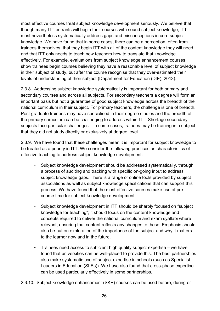most effective courses treat subject knowledge development seriously. We believe that though many ITT entrants will begin their courses with sound subject knowledge, ITT must nevertheless systematically address gaps and misconceptions in core subject knowledge. We have found that in some cases, there can be a perception, often from trainees themselves, that they begin ITT with all of the content knowledge they will need and that ITT only needs to teach new teachers how to translate that knowledge effectively. For example, evaluations from subject knowledge enhancement courses show trainees begin courses believing they have a reasonable level of subject knowledge in their subject of study, but after the course recognise that they over-estimated their levels of understanding of their subject (Department for Education (DfE), 2013).

2.3.8. Addressing subject knowledge systematically is important for both primary and secondary courses and across all subjects. For secondary teachers a degree will form an important basis but not a guarantee of good subject knowledge across the breadth of the national curriculum in their subject. For primary teachers, the challenge is one of breadth. Post-graduate trainees may have specialised in their degree studies and the breadth of the primary curriculum can be challenging to address within ITT. Shortage secondary subjects face particular challenges – in some cases, trainees may be training in a subject that they did not study directly or exclusively at degree level.

2.3.9. We have found that these challenges mean it is important for subject knowledge to be treated as a priority in ITT. We consider the following practices as characteristics of effective teaching to address subject knowledge development:

- Subject knowledge development should be addressed systematically, through a process of auditing and tracking with specific on-going input to address subject knowledge gaps. There is a range of online tools provided by subject associations as well as subject knowledge specifications that can support this process. We have found that the most effective courses make use of precourse time for subject knowledge development.
- Subject knowledge development in ITT should be sharply focused on "subject knowledge for teaching"; it should focus on the content knowledge and concepts required to deliver the national curriculum and exam syallabi where relevant, ensuring that content reflects any changes to these. Emphasis should also be put on exploration of the importance of the subject and why it matters to the learner now and in the future.
- Trainees need access to sufficient high quality subject expertise we have found that universities can be well-placed to provide this. The best partnerships also make systematic use of subject expertise in schools (such as Specialist Leaders in Education (SLEs)). We have also found that cross-phase expertise can be used particularly effectively in some partnerships.
- 2.3.10. Subject knowledge enhancement (SKE) courses can be used before, during or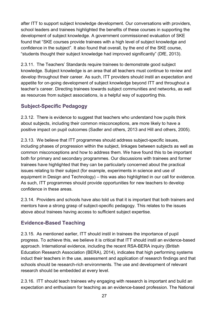after ITT to support subject knowledge development. Our conversations with providers, school leaders and trainees highlighted the benefits of these courses in supporting the development of subject knowledge. A government commissioned evaluation of SKE found that "SKE courses provide trainees with a high level of subject knowledge and confidence in the subject". It also found that overall, by the end of the SKE course, "students thought their subject knowledge had improved significantly" (DfE, 2013).

2.3.11. The Teachers' Standards require trainees to demonstrate good subject knowledge. Subject knowledge is an area that all teachers must continue to review and develop throughout their career. As such, ITT providers should instil an expectation and appetite for on-going development of subject knowledge beyond ITT and throughout a teacher's career. Directing trainees towards subject communities and networks, as well as resources from subject associations, is a helpful way of supporting this.

## **Subject-Specific Pedagogy**

2.3.12. There is evidence to suggest that teachers who understand how pupils think about subjects, including their common misconceptions, are more likely to have a positive impact on pupil outcomes (Sadler and others, 2013 and Hill and others, 2005).

2.3.13. We believe that ITT programmes should address subject-specific issues, including phases of progression within the subject, linkages between subjects as well as common misconceptions and how to address them. We have found this to be important both for primary and secondary programmes. Our discussions with trainees and former trainees have highlighted that they can be particularly concerned about the practical issues relating to their subject (for example, experiments in science and use of equipment in Design and Technology) – this was also highlighted in our call for evidence. As such, ITT programmes should provide opportunities for new teachers to develop confidence in these areas.

2.3.14. Providers and schools have also told us that it is important that both trainers and mentors have a strong grasp of subject-specific pedagogy. This relates to the issues above about trainees having access to sufficient subject expertise.

## **Evidence-Based Teaching**

2.3.15. As mentioned earlier, ITT should instil in trainees the importance of pupil progress. To achieve this, we believe it is critical that ITT should instil an evidence-based approach. International evidence, including the recent RSA-BERA inquiry (British Education Research Association (BERA), 2014), indicates that high performing systems induct their teachers in the use, assessment and application of research findings and that schools should be research-rich environments. The use and development of relevant research should be embedded at every level.

2.3.16. ITT should teach trainees why engaging with research is important and build an expectation and enthusiasm for teaching as an evidence-based profession. The National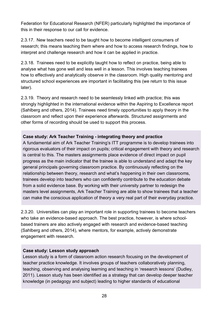Federation for Educational Research (NFER) particularly highlighted the importance of this in their response to our call for evidence.

2.3.17. New teachers need to be taught how to become intelligent consumers of research; this means teaching them where and how to access research findings, how to interpret and challenge research and how it can be applied in practice.

2.3.18. Trainees need to be explicitly taught how to reflect on practice, being able to analyse what has gone well and less well in a lesson. This involves teaching trainees how to effectively and analytically observe in the classroom. High quality mentoring and structured school experiences are important in facilitating this (we return to this issue later).

2.3.19. Theory and research need to be seamlessly linked with practice; this was strongly highlighted in the international evidence within the Aspiring to Excellence report (Sahlberg and others, 2014). Trainees need timely opportunities to apply theory in the classroom and reflect upon their experience afterwards. Structured assignments and other forms of recording should be used to support this process.

#### **Case study: Ark Teacher Training - integrating theory and practice**

A fundamental aim of Ark Teacher Training's ITT programme is to develop trainees into rigorous evaluators of their impact on pupils; critical engagement with theory and research is central to this. The masters assignments place evidence of direct impact on pupil progress as the main indicator that the trainee is able to understand and adapt the key general principals governing classroom practice. By continuously reflecting on the relationship between theory, research and what's happening in their own classrooms, trainees develop into teachers who can confidently contribute to the education debate from a solid evidence base. By working with their university partner to redesign the masters level assignments, Ark Teacher Training are able to show trainees that a teacher can make the conscious application of theory a very real part of their everyday practice.

2.3.20. Universities can play an important role in supporting trainees to become teachers who take an evidence-based approach. The best practice, however, is where schoolbased trainers are also actively engaged with research and evidence-based teaching (Sahlberg and others, 2014), where mentors, for example, actively demonstrate engagement with research.

#### **Case study: Lesson study approach**

Lesson study is a form of classroom action research focusing on the development of teacher practice knowledge. It involves groups of teachers collaboratively planning, teaching, observing and analysing learning and teaching in 'research lessons' (Dudley, 2011). Lesson study has been identified as a strategy that can develop deeper teacher knowledge (in pedagogy and subject) leading to higher standards of educational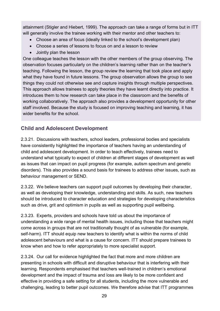attainment (Stigler and Hiebert, 1999). The approach can take a range of forms but in ITT will generally involve the trainee working with their mentor and other teachers to:

- Choose an area of focus (ideally linked to the school's development plan)
- Choose a series of lessons to focus on and a lesson to review
- Jointly plan the lesson

One colleague teaches the lesson with the other members of the group observing. The observation focuses particularly on the children's learning rather than on the teacher's teaching. Following the lesson, the group review the learning that took place and apply what they have found in future lessons. The group observation allows the group to see things they could not otherwise see and capture insights through multiple perspectives. This approach allows trainees to apply theories they have learnt directly into practice. It introduces them to how research can take place in the classroom and the benefits of working collaboratively. The approach also provides a development opportunity for other staff involved. Because the study is focused on improving teaching and learning, it has wider benefits for the school.

## **Child and Adolescent Development**

2.3.21. Discussions with teachers, school leaders, professional bodies and specialists have consistently highlighted the importance of teachers having an understanding of child and adolescent development. In order to teach effectively, trainees need to understand what typically to expect of children at different stages of development as well as issues that can impact on pupil progress (for example, autism spectrum and genetic disorders). This also provides a sound basis for trainees to address other issues, such as behaviour management or SEND.

2.3.22. We believe teachers can support pupil outcomes by developing their character, as well as developing their knowledge, understanding and skills. As such, new teachers should be introduced to character education and strategies for developing characteristics such as drive, grit and optimism in pupils as well as supporting pupil wellbeing.

2.3.23. Experts, providers and schools have told us about the importance of understanding a wide range of mental health issues, including those that teachers might come across in groups that are not traditionally thought of as vulnerable (for example, self-harm). ITT should equip new teachers to identify what is within the norms of child adolescent behaviours and what is a cause for concern. ITT should prepare trainees to know when and how to refer appropriately to more specialist support.

2.3.24. Our call for evidence highlighted the fact that more and more children are presenting in schools with difficult and disruptive behaviour that is interfering with their learning. Respondents emphasised that teachers well-trained in children's emotional development and the impact of trauma and loss are likely to be more confident and effective in providing a safe setting for all students, including the more vulnerable and challenging, leading to better pupil outcomes. We therefore advise that ITT programmes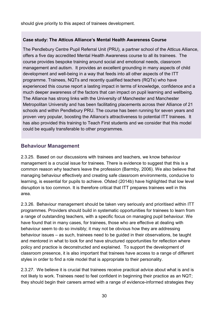should give priority to this aspect of trainees development.

#### **Case study: The Atticus Alliance's Mental Health Awareness Course**

The Pendlebury Centre Pupil Referral Unit (PRU), a partner school of the Atticus Alliance, offers a five day accredited Mental Health Awareness course to all its trainees. The course provides bespoke training around social and emotional needs, classroom management and autism. It provides an excellent grounding in many aspects of child development and well-being in a way that feeds into all other aspects of the ITT programme. Trainees, NQTs and recently qualified teachers (RQTs) who have experienced this course report a lasting impact in terms of knowledge, confidence and a much deeper awareness of the factors that can impact on pupil learning and wellbeing. The Alliance has strong links with the University of Manchester and Manchester Metropolitan University and has been facilitating placements across their Alliance of 21 schools and within Pendlebury PRU. The course has been running for seven years and proven very popular, boosting the Alliance's attractiveness to potential ITT trainees. It has also provided this training to Teach First students and we consider that this model could be equally transferable to other programmes.

#### **Behaviour Management**

2.3.25. Based on our discussions with trainees and teachers, we know behaviour management is a crucial issue for trainees. There is evidence to suggest that this is a common reason why teachers leave the profession (Barmby, 2006). We also believe that managing behaviour effectively and creating safe classroom environments, conducive to learning, is essential for pupils to achieve. Ofsted (2014b) have highlighted that low level disruption is too common. It is therefore critical that ITT prepares trainees well in this area.

2.3.26. Behaviour management should be taken very seriously and prioritised within ITT programmes. Providers should build in systematic opportunities for trainees to learn from a range of outstanding teachers, with a specific focus on managing pupil behaviour. We have found that in many cases, for trainees, those who are effective at dealing with behaviour seem to do so invisibly; it may not be obvious how they are addressing behaviour issues – as such, trainees need to be guided in their observations, be taught and mentored in what to look for and have structured opportunities for reflection where policy and practice is deconstructed and explained. To support the development of classroom presence, it is also important that trainees have access to a range of different styles in order to find a role model that is appropriate to their personality.

2.3.27. We believe it is crucial that trainees receive practical advice about what is and is not likely to work. Trainees need to feel confident in beginning their practice as an NQT; they should begin their careers armed with a range of evidence-informed strategies they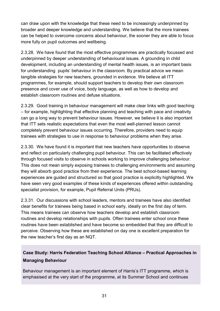can draw upon with the knowledge that these need to be increasingly underpinned by broader and deeper knowledge and understanding. We believe that the more trainees can be helped to overcome concerns about behaviour, the sooner they are able to focus more fully on pupil outcomes and wellbeing.

2.3.28. We have found that the most effective programmes are practically focussed and underpinned by deeper understanding of behavioural issues. A grounding in child development, including an understanding of mental health issues, is an important basis for understanding pupils' behaviour in the classroom. By practical advice we mean tangible strategies for new teachers, grounded in evidence. We believe all ITT programmes, for example, should support teachers to develop their own classroom presence and cover use of voice, body language, as well as how to develop and establish classroom routines and defuse situations.

2.3.29. Good training in behaviour management will make clear links with good teaching – for example, highlighting that effective planning and teaching with pace and creativity can go a long way to prevent behaviour issues. However, we believe it is also important that ITT sets realistic expectations that even the most well-planned lesson cannot completely prevent behaviour issues occurring. Therefore, providers need to equip trainees with strategies to use in response to behaviour problems when they arise.

2.3.30. We have found it is important that new teachers have opportunities to observe and reflect on particularly challenging pupil behaviour. This can be facilitated effectively through focused visits to observe in schools working to improve challenging behaviour. This does not mean simply exposing trainees to challenging environments and assuming they will absorb good practice from their experience. The best school-based learning experiences are guided and structured so that good practice is explicitly highlighted. We have seen very good examples of these kinds of experiences offered within outstanding specialist provision, for example, Pupil Referral Units (PRUs).

2.3.31. Our discussions with school leaders, mentors and trainees have also identified clear benefits for trainees being based in school early, ideally on the first day of term. This means trainees can observe how teachers develop and establish classroom routines and develop relationships with pupils. Often trainees enter school once these routines have been established and have become so embedded that they are difficult to perceive. Observing how these are established on day one is excellent preparation for the new teacher's first day as an NQT.

## **Case Study: Harris Federation Teaching School Alliance** – **Practical Approaches in Managing Behaviour**

Behaviour management is an important element of Harris's ITT programme, which is emphasised at the very start of the programme, at its Summer School and continues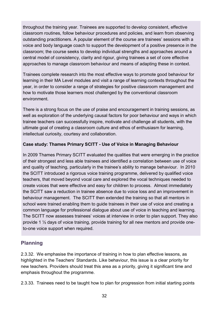throughout the training year. Trainees are supported to develop consistent, effective classroom routines, follow behaviour procedures and policies, and learn from observing outstanding practitioners. A popular element of the course are trainees' sessions with a voice and body language coach to support the development of a positive presence in the classroom; the course seeks to develop individual strengths and approaches around a central model of consistency, clarity and rigour, giving trainees a set of core effective approaches to manage classroom behaviour and means of adapting these in context.

Trainees complete research into the most effective ways to promote good behaviour for learning in their MA Level modules and visit a range of learning contexts throughout the year, in order to consider a range of strategies for positive classroom management and how to motivate those learners most challenged by the conventional classroom environment.

There is a strong focus on the use of praise and encouragement in training sessions, as well as exploration of the underlying causal factors for poor behaviour and ways in which trainee teachers can successfully inspire, motivate and challenge all students, with the ultimate goal of creating a classroom culture and ethos of enthusiasm for learning, intellectual curiosity, courtesy and collaboration.

#### **Case study: Thames Primary SCITT - Use of Voice in Managing Behaviour**

In 2009 Thames Primary SCITT evaluated the qualities that were emerging in the practice of their strongest and less able trainees and identified a correlation between use of voice and quality of teaching, particularly in the trainee's ability to manage behaviour. In 2010 the SCITT introduced a rigorous voice training programme, delivered by qualified voice teachers, that moved beyond vocal care and explored the vocal techniques needed to create voices that were effective and easy for children to process. Almost immediately the SCITT saw a reduction in trainee absence due to voice loss and an improvement in behaviour management. The SCITT then extended the training so that all mentors in school were trained enabling them to guide trainees in their use of voice and creating a common language for professional dialogue about use of voice in teaching and learning. The SCITT now assesses trainees' voices at interview in order to plan support. They also provide 1 ½ days of voice training, provide training for all new mentors and provide oneto-one voice support when required.

## **Planning**

2.3.32. We emphasise the importance of training in how to plan effective lessons, as highlighted in the Teachers' Standards. Like behaviour, this issue is a clear priority for new teachers. Providers should treat this area as a priority, giving it significant time and emphasis throughout the programme.

2.3.33. Trainees need to be taught how to plan for progression from initial starting points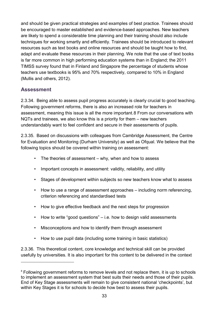and should be given practical strategies and examples of best practice. Trainees should be encouraged to master established and evidence-based approaches. New teachers are likely to spend a considerable time planning and their training should also include techniques for working smartly and efficiently. Trainees should be introduced to relevant resources such as text books and online resources and should be taught how to find, adapt and evaluate these resources in their planning. We note that the use of text books is far more common in high performing education systems than in England; the 2011 TIMSS survey found that in Finland and Singapore the percentage of students whose teachers use textbooks is 95% and 70% respectively, compared to 10% in England (Mullis and others, 2012).

## **Assessment**

 $\overline{a}$ 

2.3.34. Being able to assess pupil progress accurately is clearly crucial to good teaching. Following government reforms, there is also an increased role for teachers in assessment, meaning this issue is all the more important.[8](#page-32-0) From our conversations with NQTs and trainees, we also know this is a priority for them – new teachers understandably want to feel confident and secure in their assessments of pupils.

2.3.35. Based on discussions with colleagues from Cambridge Assessment, the Centre for Evaluation and Monitoring (Durham University) as well as Ofqual. We believe that the following topics should be covered within training on assessment:

- The theories of assessment why, when and how to assess
- Important concepts in assessment: validity, reliability, and utility
- Stages of development within subjects so new teachers know what to assess
- How to use a range of assessment approaches including norm referencing, criterion referencing and standardised tests
- How to give effective feedback and the next steps for progression
- How to write "good questions" i.e. how to design valid assessments
- Misconceptions and how to identify them through assessment
- How to use pupil data (including some training in basic statistics)

2.3.36. This theoretical content, core knowledge and technical skill can be provided usefully by universities. It is also important for this content to be delivered in the context

<span id="page-32-0"></span><sup>&</sup>lt;sup>8</sup> Following government reforms to remove levels and not replace them, it is up to schools to implement an assessment system that best suits their needs and those of their pupils. End of Key Stage assessments will remain to give consistent national 'checkpoints', but within Key Stages it is for schools to decide how best to assess their pupils.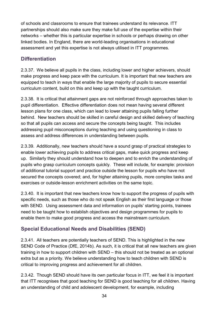of schools and classrooms to ensure that trainees understand its relevance. ITT partnerships should also make sure they make full use of the expertise within their networks – whether this is particular expertise in schools or perhaps drawing on other linked bodies. In England, there are world-leading organisations in educational assessment and yet this expertise is not always utilised in ITT programmes.

## **Differentiation**

2.3.37. We believe all pupils in the class, including lower and higher achievers, should make progress and keep pace with the curriculum. It is important that new teachers are equipped to teach in ways that enable the large majority of pupils to secure essential curriculum content, build on this and keep up with the taught curriculum.

2.3.38. It is critical that attainment gaps are not reinforced through approaches taken to pupil differentiation. Effective differentiation does not mean having several different lesson plans for one class, which can lead to lower attaining pupils falling further behind. New teachers should be skilled in careful design and skilled delivery of teaching so that all pupils can access and secure the concepts being taught. This includes addressing pupil misconceptions during teaching and using questioning in class to assess and address differences in understanding between pupils.

2.3.39. Additionally, new teachers should have a sound grasp of practical strategies to enable lower achieving pupils to address critical gaps, make quick progress and keep up. Similarly they should understand how to deepen and to enrich the understanding of pupils who grasp curriculum concepts quickly. These will include, for example: provision of additional tutorial support and practice outside the lesson for pupils who have not secured the concepts covered; and, for higher attaining pupils, more complex tasks and exercises or outside-lesson enrichment activities on the same topic.

2.3.40. It is important that new teachers know how to support the progress of pupils with specific needs, such as those who do not speak English as their first language or those with SEND. Using assessment data and information on pupils' starting points, trainees need to be taught how to establish objectives and design programmes for pupils to enable them to make good progress and access the mainstream curriculum.

## **Special Educational Needs and Disabilities (SEND)**

2.3.41. All teachers are potentially teachers of SEND. This is highlighted in the new SEND Code of Practice (DfE, 2014b). As such, it is critical that all new teachers are given training in how to support children with SEND – this should not be treated as an optional extra but as a priority. We believe understanding how to teach children with SEND is critical to improving progress and achievement for all children.

2.3.42. Though SEND should have its own particular focus in ITT, we feel it is important that ITT recognises that good teaching for SEND is good teaching for all children. Having an understanding of child and adolescent development, for example, including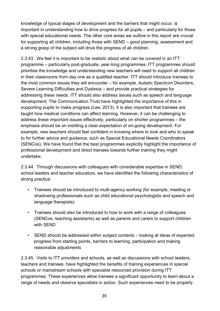knowledge of typical stages of development and the barriers that might occur, is important in understanding how to drive progress for all pupils – and particularly for those with special educational needs. The other core areas we outline in this report are crucial for supporting all children, including those with SEND – good planning, assessment and a strong grasp of the subject will drive the progress of all children.

2.3.43. We feel it is important to be realistic about what can be covered in an ITT programme – particularly post-graduate, year-long programmes. ITT programmes should prioritise the knowledge and understanding new teachers will need to support all children in their classrooms from day one as a qualified teacher. ITT should introduce trainees to the most common issues they will encounter – for example, Autistic Spectrum Disorders, Severe Learning Difficulties and Dyslexia – and provide practical strategies for addressing these needs. ITT should also address issues such as speech and language development; The Communication Trust have highlighted the importance of this in supporting pupils to make progress (Lee, 2013). It is also important that trainees are taught how medical conditions can affect learning. However, it can be challenging to address these important issues effectively, particularly on shorter programmes – the emphasis should be on instilling a clear expectation of on-going development. For example, new teachers should feel confident in knowing where to look and who to speak to for further advice and guidance, such as Special Educational Needs Coordinators (SENCos). We have found that the best programmes explicitly highlight the importance of professional development and direct trainees towards further training they might undertake.

2.3.44. Through discussions with colleagues with considerable expertise in SEND, school leaders and teacher educators, we have identified the following characteristics of strong practice:

- Trainees should be introduced to multi-agency working (for example, meeting or shadowing professionals such as child educational psychologists and speech and language therapists)
- Trainees should also be introduced to how to work with a range of colleagues (SENCos, teaching assistants) as well as parents and carers to support children with SEND
- SEND should be addressed within subject contexts looking at ideas of expected progress from starting points, barriers to learning, participation and making reasonable adjustments

2.3.45. Visits to ITT providers and schools, as well as discussions with school leaders, teachers and trainees, have highlighted the benefits of training experiences in special schools or mainstream schools with specialist resourced provision during ITT programmes. These experiences allow trainees a significant opportunity to learn about a range of needs and observe specialists in action. Such experiences need to be properly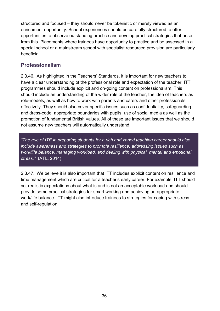structured and focused – they should never be tokenistic or merely viewed as an enrichment opportunity. School experiences should be carefully structured to offer opportunities to observe outstanding practice and develop practical strategies that arise from this. Placements where trainees have opportunity to practice and be assessed in a special school or a mainstream school with specialist resourced provision are particularly beneficial.

## **Professionalism**

2.3.46. As highlighted in the Teachers' Standards, it is important for new teachers to have a clear understanding of the professional role and expectation of the teacher. ITT programmes should include explicit and on-going content on professionalism. This should include an understanding of the wider role of the teacher, the idea of teachers as role-models, as well as how to work with parents and carers and other professionals effectively. They should also cover specific issues such as confidentiality, safeguarding and dress-code, appropriate boundaries with pupils, use of social media as well as the promotion of fundamental British values. All of these are important issues that we should not assume new teachers will automatically understand.

*"The role of ITE in preparing students for a rich and varied teaching career should also include awareness and strategies to promote resilience, addressing issues such as work/life balance, managing workload, and dealing with physical, mental and emotional stress."* (ATL, 2014)

2.3.47. We believe it is also important that ITT includes explicit content on resilience and time management which are critical for a teacher's early career. For example, ITT should set realistic expectations about what is and is not an acceptable workload and should provide some practical strategies for smart working and achieving an appropriate work/life balance. ITT might also introduce trainees to strategies for coping with stress and self-regulation.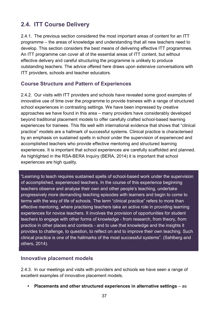## **2.4. ITT Course Delivery**

2.4.1. The previous section considered the most important areas of content for an ITT programme – the areas of knowledge and understanding that all new teachers need to develop. This section considers the best means of delivering effective ITT programmes. An ITT programme can cover all of the essential areas of ITT content, but without effective delivery and careful structuring the programme is unlikely to produce outstanding teachers. The advice offered here draws upon extensive conversations with ITT providers, schools and teacher educators.

## **Course Structure and Pattern of Experiences**

2.4.2. Our visits with ITT providers and schools have revealed some good examples of innovative use of time over the programme to provide trainees with a range of structured school experiences in contrasting settings. We have been impressed by creative approaches we have found in this area – many providers have considerably developed beyond traditional placement models to offer carefully crafted school-based learning experiences for trainees. This fits well with international evidence that shows that "clinical practice" models are a hallmark of successful systems. Clinical practice is characterised by an emphasis on sustained spells in school under the supervision of experienced and accomplished teachers who provide effective mentoring and structured learning experiences. It is important that school experiences are carefully scaffolded and planned. As highlighted in the RSA-BERA Inquiry (BERA, 2014) it is important that school experiences are high quality.

"Learning to teach requires sustained spells of school-based work under the supervision of accomplished, experienced teachers. In the course of this experience beginning teachers observe and analyse their own and other people's teaching, undertake progressively more demanding teaching episodes with learners and begin to come to terms with the way of life of schools. The term "clinical practice" refers to more than effective mentoring, where practising teachers take an active role in providing learning experiences for novice teachers. It involves the provision of opportunities for student teachers to engage with other forms of knowledge - from research, from theory, from practice in other places and contexts - and to use that knowledge and the insights it provides to challenge, to question, to reflect on and to improve their own teaching. Such clinical practice is one of the hallmarks of the most successful systems". (Sahlberg and others, 2014).

#### **Innovative placement models**

2.4.3. In our meetings and visits with providers and schools we have seen a range of excellent examples of innovative placement models.

**• Placements and other structured experiences in alternative settings** – as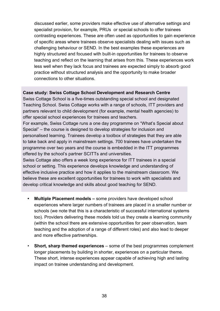discussed earlier, some providers make effective use of alternative settings and specialist provision, for example, PRUs or special schools to offer trainees contrasting experiences. These are often used as opportunities to gain experience of specific areas where trainees observe specialists dealing with issues such as challenging behaviour or SEND. In the best examples these experiences are highly structured and focused with built-in opportunities for trainees to observe teaching and reflect on the learning that arises from this. These experiences work less well when they lack focus and trainees are expected simply to absorb good practice without structured analysis and the opportunity to make broader connections to other situations.

#### **Case study: Swiss Cottage School Development and Research Centre**

Swiss Cottage School is a five-times outstanding special school and designated Teaching School. Swiss Cottage works with a range of schools, ITT providers and partners relevant to child development (for example, mental health agencies) to offer special school experiences for trainees and teachers.

For example, Swiss Cottage runs a one day programme on "What's Special about Special" – the course is designed to develop strategies for inclusion and personalised learning. Trainees develop a toolbox of strategies that they are able to take back and apply in mainstream settings. 700 trainees have undertaken the programme over two years and the course is embedded in the ITT programmes offered by the school's partner SCITTs and universities.

Swiss Cottage also offers a week long experience for ITT trainees in a special school or setting. This experience develops knowledge and understanding of effective inclusive practice and how it applies to the mainstream classroom. We believe these are excellent opportunities for trainees to work with specialists and develop critical knowledge and skills about good teaching for SEND.

- **• Multiple Placement models –** some providers have developed school experiences where larger numbers of trainees are placed in a smaller number or schools (we note that this is a characteristic of successful international systems too). Providers delivering these models told us they create a learning community (within the school there are extensive opportunities for peer observation, team teaching and the adoption of a range of different roles) and also lead to deeper and more effective partnerships.
- **Short, sharp themed experiences** some of the best programmes complement longer placements by building in shorter, experiences on a particular theme. These short, intense experiences appear capable of achieving high and lasting impact on trainee understanding and development.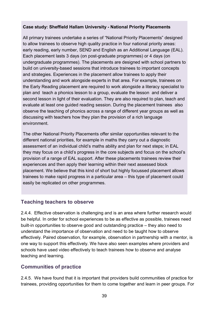#### **Case study: Sheffield Hallam University - National Priority Placements**

All primary trainees undertake a series of "National Priority Placements" designed to allow trainees to observe high quality practice in four national priority areas: early reading, early number, SEND and English as an Additional Language (EAL). Each placement lasts 3 days (on post-graduate programmes) or 4 days (on undergraduate programmes). The placements are designed with school partners to build on university-based sessions that introduce trainees to important concepts and strategies. Experiences in the placement allow trainees to apply their understanding and work alongside experts in that area. For example, trainees on the Early Reading placement are required to work alongside a literacy specialist to plan and teach a phonics lesson to a group, evaluate the lesson and deliver a second lesson in light of their evaluation. They are also required to plan, teach and evaluate at least one guided reading session. During the placement trainees also observe the teaching of phonics across a range of different year groups as well as discussing with teachers how they plan the provision of a rich language environment.

The other National Priority Placements offer similar opportunities relevant to the different national priorities, for example in maths they carry out a diagnostic assessment of an individual child's maths ability and plan for next steps; in EAL they may focus on a child's progress in the core subjects and focus on the school's provision of a range of EAL support. After these placements trainees review their experiences and then apply their learning within their next assessed block placement. We believe that this kind of short but highly focussed placement allows trainees to make rapid progress in a particular area – this type of placement could easily be replicated on other programmes.

#### **Teaching teachers to observe**

2.4.4. Effective observation is challenging and is an area where further research would be helpful. In order for school experiences to be as effective as possible, trainees need built-in opportunities to observe good and outstanding practice – they also need to understand the importance of observation and need to be taught how to observe effectively. Paired observation, for example, observation in partnership with a mentor, is one way to support this effectively. We have also seen examples where providers and schools have used video effectively to teach trainees how to observe and analyse teaching and learning.

### **Communities of practice**

2.4.5. We have found that it is important that providers build communities of practice for trainees, providing opportunities for them to come together and learn in peer groups. For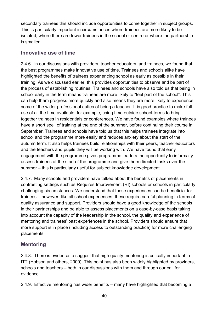secondary trainees this should include opportunities to come together in subject groups. This is particularly important in circumstances where trainees are more likely to be isolated, where there are fewer trainees in the school or centre or where the partnership is smaller.

### **Innovative use of time**

2.4.6. In our discussions with providers, teacher educators, and trainees, we found that the best programmes make innovative use of time. Trainees and schools alike have highlighted the benefits of trainees experiencing school as early as possible in their training. As we discussed earlier, this provides opportunities to observe and be part of the process of establishing routines. Trainees and schools have also told us that being in school early in the term means trainees are more likely to "feel part of the school". This can help them progress more quickly and also means they are more likely to experience some of the wider professional duties of being a teacher. It is good practice to make full use of all the time available: for example, using time outside school-terms to bring together trainees in residentials or conferences. We have found examples where trainees have a short spell of training at the end of the summer, before continuing their course in September. Trainees and schools have told us that this helps trainees integrate into school and the programme more easily and reduces anxiety about the start of the autumn term. It also helps trainees build relationships with their peers, teacher educators and the teachers and pupils they will be working with. We have found that early engagement with the programme gives programme leaders the opportunity to informally assess trainees at the start of the programme and give them directed tasks over the summer – this is particularly useful for subject knowledge development.

2.4.7. Many schools and providers have talked about the benefits of placements in contrasting settings such as Requires Improvement (RI) schools or schools in particularly challenging circumstances. We understand that these experiences can be beneficial for trainees – however, like all school experiences, these require careful planning in terms of quality assurance and support. Providers should have a good knowledge of the schools in their partnerships and be able to assess placements on a case-by-case basis taking into account the capacity of the leadership in the school, the quality and experience of mentoring and trainees' past experiences in the school. Providers should ensure that more support is in place (including access to outstanding practice) for more challenging placements.

## **Mentoring**

2.4.8. There is evidence to suggest that high quality mentoring is critically important in ITT (Hobson and others, 2009). This point has also been widely highlighted by providers, schools and teachers – both in our discussions with them and through our call for evidence.

2.4.9. Effective mentoring has wider benefits – many have highlighted that becoming a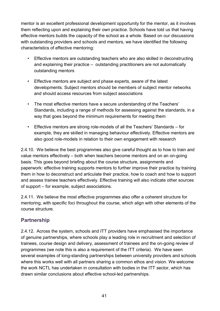mentor is an excellent professional development opportunity for the mentor, as it involves them reflecting upon and explaining their own practice. Schools have told us that having effective mentors builds the capacity of the school as a whole. Based on our discussions with outstanding providers and schools and mentors, we have identified the following characteristics of effective mentoring:

- Effective mentors are outstanding teachers who are also skilled in deconstructing and explaining their practice – outstanding practitioners are not automatically outstanding mentors
- Effective mentors are subject and phase experts, aware of the latest developments. Subject mentors should be members of subject mentor networks and should access resources from subject associations
- The most effective mentors have a secure understanding of the Teachers' Standards, including a range of methods for assessing against the standards, in a way that goes beyond the minimum requirements for meeting them
- Effective mentors are strong role-models of all the Teachers' Standards for example, they are skilled in managing behaviour effectively. Effective mentors are also good role-models in relation to their own engagement with research

2.4.10. We believe the best programmes also give careful thought as to how to train and value mentors effectively – both when teachers become mentors and on an on-going basis. This goes beyond briefing about the course structure, assignments and paperwork: effective training supports mentors to further improve their practice by training them in how to deconstruct and articulate their practice, how to coach and how to support and assess trainee teachers effectively. Effective training will also indicate other sources of support – for example, subject associations.

2.4.11. We believe the most effective programmes also offer a coherent structure for mentoring, with specific foci throughout the course, which align with other elements of the course structure.

### **Partnership**

2.4.12. Across the system, schools and ITT providers have emphasised the importance of genuine partnerships, where schools play a leading role in recruitment and selection of trainees, course design and delivery, assessment of trainees and the on-going review of programmes (we note this is also a requirement of the ITT criteria). We have seen several examples of long-standing partnerships between university providers and schools where this works well with all partners sharing a common ethos and vision. We welcome the work NCTL has undertaken in consultation with bodies in the ITT sector, which has drawn similar conclusions about effective school-led partnerships.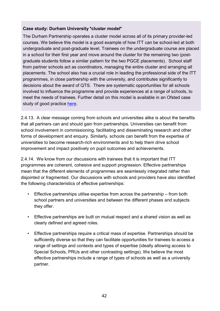#### **Case study: Durham University** "**cluster model**"

The Durham Partnership operates a cluster model across all of its primary provider-led courses. We believe this model is a good example of how ITT can be school-led at both undergraduate and post-graduate level. Trainees on the undergraduate course are placed in a school for their first year and move around the cluster for the remaining two (postgraduate students follow a similar pattern for the two PGCE placements). School staff from partner schools act as coordinators, managing the entire cluster and arranging all placements. The school also has a crucial role in leading the professional side of the ITT programmes, in close partnership with the university, and contributes significantly to decisions about the award of QTS. There are systematic opportunities for all schools involved to influence the programme and provide experiences at a range of schools, to meet the needs of trainees. Further detail on this model is available in an Ofsted case study of good practice [here.](http://www.ofsted.gov.uk/resources/good-practice-resource-initial-teacher-education-brings-benefits-for-all-university-of-durham)

2.4.13. A clear message coming from schools and universities alike is about the benefits that all partners can and should gain from partnerships. Universities can benefit from school involvement in commissioning, facilitating and disseminating research and other forms of development and enquiry. Similarly, schools can benefit from the expertise of universities to become research-rich environments and to help them drive school improvement and impact positively on pupil outcomes and achievements.

2.4.14. We know from our discussions with trainees that it is important that ITT programmes are coherent, cohesive and support progression. Effective partnerships mean that the different elements of programmes are seamlessly integrated rather than disjointed or fragmented. Our discussions with schools and providers have also identified the following characteristics of effective partnerships:

- Effective partnerships utilise expertise from across the partnership from both school partners and universities and between the different phases and subjects they offer.
- Effective partnerships are built on mutual respect and a shared vision as well as clearly defined and agreed roles.
- Effective partnerships require a critical mass of expertise. Partnerships should be sufficiently diverse so that they can facilitate opportunities for trainees to access a range of settings and contexts and types of expertise (ideally allowing access to Special Schools, PRUs and other contrasting settings). We believe the most effective partnerships include a range of types of schools as well as a university partner.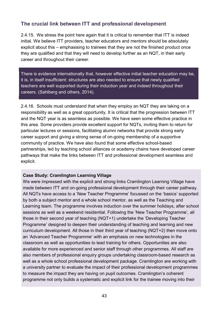### **The crucial link between ITT and professional development**

2.4.15. We stress the point here again that it is critical to remember that ITT is indeed initial. We believe ITT providers, teacher educators and mentors should be absolutely explicit about this – emphasising to trainees that they are not the finished product once they are qualified and that they will need to develop further as an NQT, in their early career and throughout their career.

There is evidence internationally that, however effective initial teacher education may be, it is, in itself insufficient: structures are also needed to ensure that newly qualified teachers are well supported during their induction year and indeed throughout their careers. (Sahlberg and others, 2014).

2.4.16. Schools must understand that when they employ an NQT they are taking on a responsibility as well as a great opportunity. It is critical that the progression between ITT and the NQT year is as seamless as possible. We have seen some effective practice in this area. Some providers provide excellent support for NQTs, inviting them to return for particular lectures or sessions, facilitating alumni networks that provide strong early career support and giving a strong sense of on-going membership of a supportive community of practice. We have also found that some effective school-based partnerships, led by teaching school alliances or academy chains have developed career pathways that make the links between ITT and professional development seamless and explicit.

#### **Case Study: Cramlington Learning Village**

We were impressed with the explicit and strong links Cramlington Learning Village have made between ITT and on-going professional development through their [career pathway.](http://www.cramlingtonlv.co.uk/Downloads/CPDOverview.pdf) All NQTs have access to a 'New Teacher Programme' focussed on the 'basics' supported by both a subject mentor and a whole school mentor, as well as the Teaching and Learning team. The programme involves induction over the summer holidays, after school sessions as well as a weekend residential. Following the 'New Teacher Programme', all those in their second year of teaching (NQT+1) undertake the 'Developing Teacher Programme' designed to deepen their understanding of teaching and learning and new curriculum development. All those in their third year of teaching (NQT+2) then move onto an 'Advanced Teacher Programme' with an emphasis on new technologies in the classroom as well as opportunities to lead training for others. Opportunities are also available for more experienced and senior staff through other programmes. All staff are also members of professional enquiry groups undertaking classroom-based research as well as a whole school professional development package. Cramlington are working with a university partner to evaluate the impact of their professional development programmes to measure the impact they are having on pupil outcomes. Cramlington's coherent programme not only builds a systematic and explicit link for the trainee moving into their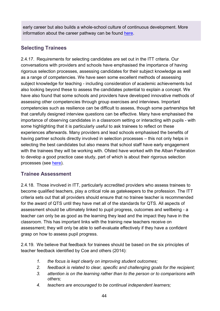early career but also builds a whole-school culture of continuous development. More information about the career pathway can be found [here.](http://www.cramlingtonlv.co.uk/?page_id=143)

## **Selecting Trainees**

2.4.17. Requirements for selecting candidates are set out in the ITT criteria. Our conversations with providers and schools have emphasised the importance of having rigorous selection processes, assessing candidates for their subject knowledge as well as a range of competencies. We have seen some excellent methods of assessing subject knowledge for teaching - including consideration of academic achievements but also looking beyond these to assess the candidates potential to explain a concept. We have also found that some schools and providers have developed innovative methods of assessing other competencies through group exercises and interviews. Important competencies such as resilience can be difficult to assess, though some partnerships felt that carefully designed interview questions can be effective. Many have emphasised the importance of observing candidates in a classroom setting or interacting with pupils - with some highlighting that it is particularly useful to ask trainees to reflect on these experiences afterwards. Many providers and lead schools emphasised the benefits of having partner schools directly involved in selection processes – this not only helps in selecting the best candidates but also means that school staff have early engagement with the trainees they will be working with. Ofsted have worked with the Alban Federation to develop a good practice case study, part of which is about their rigorous selection processes (see [here\)](http://www.ofsted.gov.uk/sites/default/files/documents/surveys-and-good-practice/a/Alban%20Federation%20-%20good%20practice%20example.pdf).

### **Trainee Assessment**

2.4.18. Those involved in ITT, particularly accredited providers who assess trainees to become qualified teachers, play a critical role as gatekeepers to the profession. The ITT criteria sets out that all providers should ensure that no trainee teacher is recommended for the award of QTS until they have met all of the standards for QTS. All aspects of assessment should be ultimately linked to pupil progress, outcomes and wellbeing - a teacher can only be as good as the learning they lead and the impact they have in the classroom. This has important links with the training new teachers receive on assessment; they will only be able to self-evaluate effectively if they have a confident grasp on how to assess pupil progress.

2.4.19. We believe that feedback for trainees should be based on the six principles of teacher feedback identified by Coe and others (2014):

- *1. the focus is kept clearly on improving student outcomes;*
- *2. feedback is related to clear, specific and challenging goals for the recipient;*
- *3. attention is on the learning rather than to the person or to comparisons with others;*
- *4. teachers are encouraged to be continual independent learners;*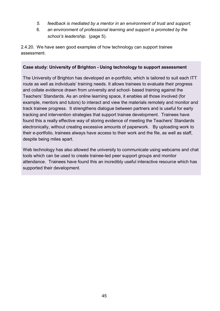- *5. feedback is mediated by a mentor in an environment of trust and support;*
- 6. *an environment of professional learning and support is promoted by the school*'*s leadership.* (page 5).

2.4.20. We have seen good examples of how technology can support trainee assessment.

#### **Case study: University of Brighton - Using technology to support assessment**

The University of Brighton has developed an e-portfolio, which is tailored to suit each ITT route as well as individuals' training needs. It allows trainees to evaluate their progress and collate evidence drawn from university and school- based training against the Teachers' Standards. As an online learning space, it enables all those involved (for example, mentors and tutors) to interact and view the materials remotely and monitor and track trainee progress. It strengthens dialogue between partners and is useful for early tracking and intervention strategies that support trainee development. Trainees have found this a really effective way of storing evidence of meeting the Teachers' Standards electronically, without creating excessive amounts of paperwork. By uploading work to their e-portfolio, trainees always have access to their work and the file, as well as staff, despite being miles apart.

Web technology has also allowed the university to communicate using webcams and chat tools which can be used to create trainee-led peer support groups and monitor attendance. Trainees have found this an incredibly useful interactive resource which has supported their development.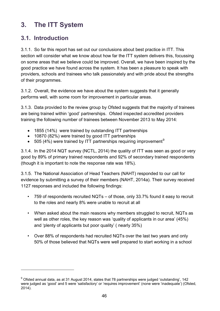# **3. The ITT System**

## **3.1. Introduction**

 $\overline{a}$ 

3.1.1. So far this report has set out our conclusions about best practice in ITT. This section will consider what we know about how far the ITT system delivers this, focussing on some areas that we believe could be improved. Overall, we have been inspired by the good practice we have found across the system. It has been a pleasure to speak with providers, schools and trainees who talk passionately and with pride about the strengths of their programmes.

3.1.2. Overall, the evidence we have about the system suggests that it generally performs well, with some room for improvement in particular areas.

3.1.3. Data provided to the review group by Ofsted suggests that the majority of trainees are being trained within 'good' partnerships. Ofsted inspected accredited providers training the following number of trainees between November 2013 to May 2014:

- 1855 (14%) were trained by outstanding ITT partnerships
- 10870 (82%) were trained by good ITT partnerships
- 505 (4%) were trained by ITT partnerships requiring improvement<sup>[9](#page-45-0)</sup>

3.1.4. In the 2014 NQT survey (NCTL, 2014) the quality of ITT was seen as good or very good by 89% of primary trained respondents and 92% of secondary trained respondents (though it is important to note the response rate was 18%).

3.1.5. The National Association of Head Teachers (NAHT) responded to our call for evidence by submitting a survey of their members (NAHT, 2014a). Their survey received 1127 responses and included the following findings:

- 759 of respondents recruited NQTs of those, only 33.7% found it easy to recruit to the roles and nearly 8% were unable to recruit at all
- When asked about the main reasons why members struggled to recruit, NQTs as well as other roles, the key reason was 'quality of applicants in our area' (45%) and 'plenty of applicants but poor quality' ( nearly 35%)
- Over 88% of respondents had recruited NQTs over the last two years and only 50% of those believed that NQTs were well prepared to start working in a school

<span id="page-45-0"></span><sup>&</sup>lt;sup>9</sup> Ofsted annual data, as at 31 August 2014, states that 78 partnerships were judged 'outstanding', 142 were judged as 'good' and 5 were 'satisfactory' or 'requires improvement' (none were 'inadequate') (Ofsted, 2014).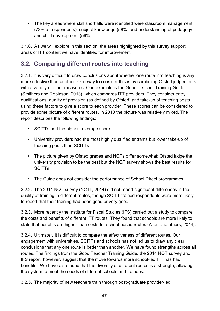• The key areas where skill shortfalls were identified were classroom management (73% of respondents), subject knowledge (58%) and understanding of pedagogy and child development (56%)

3.1.6. As we will explore in this section, the areas highlighted by this survey support areas of ITT content we have identified for improvement.

## **3.2. Comparing different routes into teaching**

3.2.1. It is very difficult to draw conclusions about whether one route into teaching is any more effective than another. One way to consider this is by combining Ofsted judgements with a variety of other measures. One example is the Good Teacher Training Guide (Smithers and Robinson, 2013), which compares ITT providers. They consider entry qualifications, quality of provision (as defined by Ofsted) and take-up of teaching posts using these factors to give a score to each provider. These scores can be considered to provide some picture of different routes. In 2013 the picture was relatively mixed. The report describes the following findings:

- SCITTs had the highest average score
- University providers had the most highly qualified entrants but lower take-up of teaching posts than SCITTs
- The picture given by Ofsted grades and NQTs differ somewhat; Ofsted judge the university provision to be the best but the NQT survey shows the best results for **SCITTS**
- The Guide does not consider the performance of School Direct programmes

3.2.2. The 2014 NQT survey (NCTL, 2014) did not report significant differences in the quality of training in different routes, though SCITT trained respondents were more likely to report that their training had been good or very good.

3.2.3. More recently the Institute for Fiscal Studies (IFS) carried out a study to compare the costs and benefits of different ITT routes. They found that schools are more likely to state that benefits are higher than costs for school-based routes (Allen and others, 2014).

3.2.4. Ultimately it is difficult to compare the effectiveness of different routes. Our engagement with universities, SCITTs and schools has not led us to draw any clear conclusions that any one route is better than another. We have found strengths across all routes. The findings from the Good Teacher Training Guide, the 2014 NQT survey and IFS report, however, suggest that the move towards more school-led ITT has had benefits. We have also found that the diversity of different routes is a strength, allowing the system to meet the needs of different schools and trainees.

3.2.5. The majority of new teachers train through post-graduate provider-led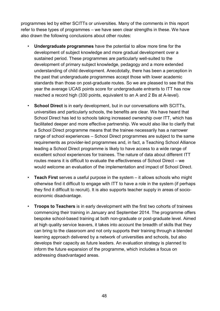programmes led by either SCITTs or universities. Many of the comments in this report refer to these types of programmes – we have seen clear strengths in these. We have also drawn the following conclusions about other routes:

- **Undergraduate programmes** have the potential to allow more time for the development of subject knowledge and more gradual development over a sustained period. These programmes are particularly well-suited to the development of primary subject knowledge, pedagogy and a more extended understanding of child development. Anecdotally, there has been a perception in the past that undergraduate programmes accept those with lower academic standards than those on post-graduate routes. So we are pleased to see that this year the average UCAS points score for undergraduate entrants to ITT has now reached a record high (330 points, equivalent to an A and 2 Bs at A-level).
- **School Direct** is in early development, but in our conversations with SCITTs, universities and particularly schools, the benefits are clear. We have heard that School Direct has led to schools taking increased ownership over ITT, which has facilitated deeper and more effective partnership. We would also like to clarify that a School Direct programme means that the trainee necessarily has a narrower range of school experiences – School Direct programmes are subject to the same requirements as provider-led programmes and, in fact, a Teaching School Alliance leading a School Direct programme is likely to have access to a wide range of excellent school experiences for trainees. The nature of data about different ITT routes means it is difficult to evaluate the effectiveness of School Direct – we would welcome an evaluation of the implementation and impact of School Direct.
- **Teach First** serves a useful purpose in the system it allows schools who might otherwise find it difficult to engage with ITT to have a role in the system (if perhaps they find it difficult to recruit). It is also supports teacher supply in areas of socioeconomic disadvantage.
- **Troops to Teachers** is in early development with the first two cohorts of trainees commencing their training in January and September 2014. The programme offers bespoke school-based training at both non-graduate or post-graduate level. Aimed at high quality service leavers, it takes into account the breadth of skills that they can bring to the classroom and not only supports their training through a blended learning approach delivered by a network of universities and schools, but also develops their capacity as future leaders. An evaluation strategy is planned to inform the future expansion of the programme, which includes a focus on addressing disadvantaged areas.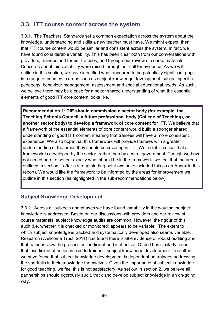## **3.3. ITT course content across the system**

3.3.1. The Teachers' Standards set a common expectation across the system about the knowledge, understanding and skills a new teacher must have. We might expect, then, that ITT course content would be similar and consistent across the system. In fact, we have found considerable variability. This has been clear both from our conversations with providers, trainees and former trainees, and through our review of course materials. Concerns about this variability were raised through our call for evidence. As we will outline in this section, we have identified what appeared to be potentially significant gaps in a range of courses in areas such as subject knowledge development, subject specific pedagogy, behaviour management, assessment and special educational needs. As such, we believe there may be a case for a better shared understanding of what the essential elements of good ITT core content looks like.

**Recommendation 1**: **DfE should commission a sector body (for example, the Teaching Schools Council, a future professional body (College of Teaching), or another sector body) to develop a framework of core content for ITT**. We believe that a framework of the essential elements of core content would build a stronger shared understanding of good ITT content meaning that trainees will have a more consistent experience. We also hope that this framework will provide trainees with a greater understanding of the areas they should be covering in ITT. We feel it is critical that a framework is developed by the sector, rather than by central government. Though we have not aimed here to set out exactly what should be in the framework, we feel that the areas outlined in section 1 offer a strong starting point (we have included this as an Annex in this report). We would like the framework to be informed by the areas for improvement we outline in this section (as highlighted in the sub-recommendations below).

#### **Subject Knowledge Development**

3.3.2. Across all subjects and phases we have found variability in the way that subject knowledge is addressed. Based on our discussions with providers and our review of course materials, subject knowledge audits are common. However, the rigour of this audit (i.e. whether it is checked or monitored) appears to be variable. The extent to which subject knowledge is tracked and systematically developed also seems variable. Research (Wellcome Trust, 2011) has found there is little evidence of robust auditing and that trainees view the process as inefficient and ineffective. Ofsted has similarly found that insufficient attention is paid to trainees' subject knowledge development. Too often, we have found that subject knowledge development is dependent on trainees addressing the shortfalls in their knowledge themselves. Given the importance of subject knowledge for good teaching, we feel this is not satisfactory. As set out in section 2, we believe all partnerships should rigorously audit, track and develop subject knowledge in an on-going way.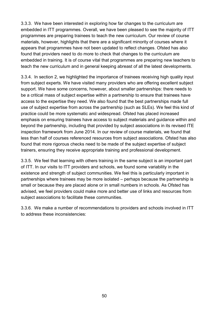3.3.3. We have been interested in exploring how far changes to the curriculum are embedded in ITT programmes. Overall, we have been pleased to see the majority of ITT programmes are preparing trainees to teach the new curriculum. Our review of course materials, however, highlights that there are a significant minority of courses where it appears that programmes have not been updated to reflect changes. Ofsted has also found that providers need to do more to check that changes to the curriculum are embedded in training. It is of course vital that programmes are preparing new teachers to teach the new curriculum and in general keeping abreast of all the latest developments.

3.3.4. In section 2, we highlighted the importance of trainees receiving high quality input from subject experts. We have visited many providers who are offering excellent subject support. We have some concerns, however, about smaller partnerships: there needs to be a critical mass of subject expertise within a partnership to ensure that trainees have access to the expertise they need. We also found that the best partnerships made full use of subject expertise from across the partnership (such as SLEs). We feel this kind of practice could be more systematic and widespread. Ofsted has placed increased emphasis on ensuring trainees have access to subject materials and guidance within and beyond the partnership, including that provided by subject associations in its revised ITE inspection framework from June 2014. In our review of course materials, we found that less than half of courses referenced resources from subject associations. Ofsted has also found that more rigorous checks need to be made of the subject expertise of subject trainers, ensuring they receive appropriate training and professional development.

3.3.5. We feel that learning with others training in the same subject is an important part of ITT. In our visits to ITT providers and schools, we found some variability in the existence and strength of subject communities. We feel this is particularly important in partnerships where trainees may be more isolated – perhaps because the partnership is small or because they are placed alone or in small numbers in schools. As Ofsted has advised, we feel providers could make more and better use of links and resources from subject associations to facilitate these communities.

3.3.6. We make a number of recommendations to providers and schools involved in ITT to address these inconsistencies: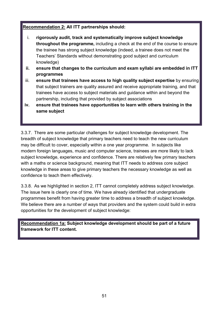#### **Recommendation 2: All ITT partnerships should:**

- i. **rigorously audit, track and systematically improve subject knowledge throughout the programme,** including a check at the end of the course to ensure the trainee has strong subject knowledge (indeed, a trainee does not meet the Teachers' Standards without demonstrating good subject and curriculum knowledge)
- **ii. ensure that changes to the curriculum and exam syllabi are embedded in ITT programmes**
- iii. **ensure that trainees have access to high quality subject expertise** by ensuring that subject trainers are quality assured and receive appropriate training, and that trainees have access to subject materials and guidance within and beyond the partnership, including that provided by subject associations
- **iv. ensure that trainees have opportunities to learn with others training in the same subject**

3.3.7. There are some particular challenges for subject knowledge development. The breadth of subject knowledge that primary teachers need to teach the new curriculum may be difficult to cover, especially within a one year programme. In subjects like modern foreign languages, music and computer science, trainees are more likely to lack subject knowledge, experience and confidence. There are relatively few primary teachers with a maths or science background, meaning that ITT needs to address core subject knowledge in these areas to give primary teachers the necessary knowledge as well as confidence to teach them effectively.

3.3.8. As we highlighted in section 2, ITT cannot completely address subject knowledge. The issue here is clearly one of time. We have already identified that undergraduate programmes benefit from having greater time to address a breadth of subject knowledge. We believe there are a number of ways that providers and the system could build in extra opportunities for the development of subject knowledge:

**Recommendation 1a: Subject knowledge development should be part of a future framework for ITT content.**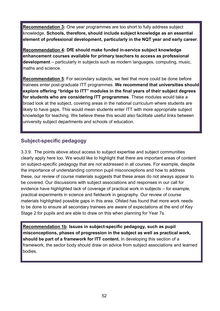**Recommendation 3:** One year programmes are too short to fully address subject knowledge. **Schools, therefore, should include subject knowledge as an essential element of professional development, particularly in the NQT year and early career**.

**Recommendation 4: DfE should make funded in-service subject knowledge enhancement courses available for primary teachers to access as professional development** – particularly in subjects such as modern languages, computing, music, maths and science.

**Recommendation 5**: For secondary subjects, we feel that more could be done before trainees enter post-graduate ITT programmes. **We recommend that universities should explore offering "bridge to ITT" modules in the final years of their subject degrees for students who are considering ITT programmes**. These modules would take a broad look at the subject, covering areas in the national curriculum where students are likely to have gaps. This would mean students enter ITT with more appropriate subject knowledge for teaching. We believe these this would also facilitate useful links between university subject departments and schools of education.

### **Subject-specific pedagogy**

3.3.9. The points above about access to subject expertise and subject communities clearly apply here too. We would like to highlight that there are important areas of content on subject-specific pedagogy that are not addressed in all courses. For example, despite the importance of understanding common pupil misconceptions and how to address these, our review of course materials suggests that these areas do not always appear to be covered. Our discussions with subject associations and responses in our call for evidence have highlighted lack of coverage of practical work in subjects – for example, practical experiments in science and fieldwork in geography. Our review of course materials highlighted possible gaps in this area. Ofsted has found that more work needs to be done to ensure all secondary trainees are aware of expectations at the end of Key Stage 2 for pupils and are able to draw on this when planning for Year 7s.

**Recommendation 1b**: **Issues in subject-specific pedagogy, such as pupil misconceptions, phases of progression in the subject as well as practical work, should be part of a framework for ITT content.** In developing this section of a framework, the sector body should draw on advice from subject associations and learned bodies.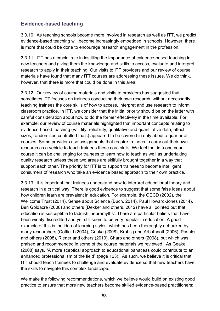### **Evidence-based teaching**

3.3.10. As teaching schools become more involved in research as well as ITT, we predict evidence-based teaching will become increasingly embedded in schools. However, there is more that could be done to encourage research engagement in the profession.

3.3.11. ITT has a crucial role in instilling the importance of evidence-based teaching in new teachers and giving them the knowledge and skills to access, evaluate and interpret research to apply in their teaching. Our visits to ITT providers and our review of course materials have found that many ITT courses are addressing these issues. We do think, however, that there is more that could be done in this area.

3.3.12. Our review of course materials and visits to providers has suggested that sometimes ITT focuses on trainees conducting their own research, without necessarily teaching trainees the core skills of how to access, interpret and use research to inform classroom practice. In ITT, we consider that the initial priority should be on the latter with careful consideration about how to do the former effectively in the time available. For example, our review of course materials highlighted that important concepts relating to evidence-based teaching (validity, reliability, qualitative and quantitative data, effect sizes, randomised controlled trials) appeared to be covered in only about a quarter of courses. Some providers use assignments that require trainees to carry out their own research as a vehicle to teach trainees these core skills. We feel that in a one year course it can be challenging for trainees to learn how to teach as well as undertaking quality research unless these two areas are skilfully brought together in a way that support each other. The priority for ITT is to support trainees to become intelligent consumers of research who take an evidence based approach to their own practice.

3.3.13. It is important that trainees understand how to interpret educational theory and research in a critical way. There is good evidence to suggest that some false ideas about how children learn are prevalent in education. For example, the OECD (2002), the Wellcome Trust (2014), Sense about Science (Buch, 2014), Paul Howard-Jones (2014), Ben Goldacre (2008) and others (Dekker and others, 2012) have all pointed out that education is susceptible to faddish 'neuromyths'. There are particular beliefs that have been widely discredited and yet still seem to be very popular in education. A good example of this is the idea of learning styles, which has been thoroughly debunked by many researchers (Coffield (2004), Geake (2008), Kratzig and Arbuthnott (2006), Pashler and others (2008), Riener and others (2010), Sharp and others (2008), but which was praised and recommended in some of the course materials we reviewed. As Geake (2008) says, "A more sceptical approach to educational panaceas could contribute to an enhanced professionalism of the field" (page 123). As such, we believe it is critical that ITT should teach trainees to challenge and evaluate evidence so that new teachers have the skills to navigate this complex landscape.

We make the following recommendations, which we believe would build on existing good practice to ensure that more new teachers become skilled evidence-based practitioners: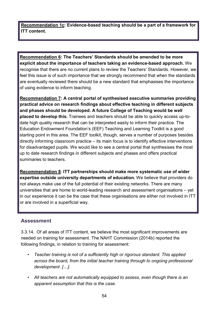**Recommendation 1c: Evidence-based teaching should be a part of a framework for ITT content.**

**Recommendation 6: The Teachers' Standards should be amended to be more explicit about the importance of teachers taking an evidence-based approach.** We recognise that there are no current plans to review the Teachers' Standards. However, we feel this issue is of such importance that we strongly recommend that when the standards are eventually reviewed there should be a new standard that emphasises the importance of using evidence to inform teaching.

**Recommendation 7: A central portal of synthesised executive summaries providing practical advice on research findings about effective teaching in different subjects and phases should be developed. A future College of Teaching would be well placed to develop this.** Trainees and teachers should be able to quickly access up-todate high quality research that can be interpreted easily to inform their practice. The Education Endowment Foundation's (EEF) Teaching and Learning Toolkit is a good starting point in this area. The EEF toolkit, though, serves a number of purposes besides directly informing classroom practice – its main focus is to identify effective interventions for disadvantaged pupils. We would like to see a central portal that synthesises the most up to date research findings in different subjects and phases and offers practical summaries to teachers.

**Recommendation 8**: **ITT partnerships should make more systematic use of wider expertise outside university departments of education.** We believe that providers do not always make use of the full potential of their existing networks. There are many universities that are home to world-leading research and assessment organisations – yet in our experience it can be the case that these organisations are either not involved in ITT or are involved in a superficial way.

#### **Assessment**

3.3.14. Of all areas of ITT content, we believe the most significant improvements are needed on training for assessment. The NAHT Commission (2014b) reported the following findings, in relation to training for assessment:

- *• Teacher training is not of a sufficiently high or rigorous standard. This applied across the board, from the initial teacher training through to ongoing professional development. […].*
- *• All teachers are not automatically equipped to assess, even though there is an apparent assumption that this is the case.*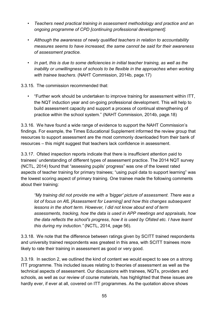- *• Teachers need practical training in assessment methodology and practice and an ongoing programme of CPD [continuing professional development].*
- *• Although the awareness of newly qualified teachers in relation to accountability measures seems to have increased, the same cannot be said for their awareness of assessment practice.*
- *• In part, this is due to some deficiencies in initial teacher training, as well as the inability or unwillingness of schools to be flexible in the approaches when working with trainee teachers.* (NAHT Commission, 2014b, page.17)

3.3.15. The commission recommended that:

*•* "Further work should be undertaken to improve training for assessment within ITT, the NQT induction year and on-going professional development. This will help to build assessment capacity and support a process of continual strengthening of practice within the school system." (NAHT Commission, 2014b, page.18)

3.3.16. We have found a wide range of evidence to support the NAHT Commission's findings. For example, the Times Educational Supplement informed the review group that resources to support assessment are the most commonly downloaded from their bank of resources – this might suggest that teachers lack confidence in assessment.

3.3.17. Ofsted inspection reports indicate that there is insufficient attention paid to trainees' understanding of different types of assessment practice. The 2014 NQT survey (NCTL, 2014) found that "assessing pupils' progress" was one of the lowest rated aspects of teacher training for primary trainees; "using pupil data to support learning" was the lowest scoring aspect of primary training. One trainee made the following comments about their training:

*"My training did not provide me with a 'bigger' picture of assessment. There was a lot of focus on AfL [Assessment for Learning] and how this changes subsequent lessons in the short term. However, I did not know about end of term assessments, tracking, how the data is used in APP meetings and appraisals, how the data reflects the school's progress, how it is used by Ofsted etc. I have learnt this during my induction."* (NCTL, 2014, page 56).

3.3.18. We note that the difference between ratings given by SCITT trained respondents and university trained respondents was greatest in this area, with SCITT trainees more likely to rate their training in assessment as good or very good.

3.3.19. In section 2, we outlined the kind of content we would expect to see on a strong ITT programme. This included issues relating to theories of assessment as well as the technical aspects of assessment. Our discussions with trainees, NQTs, providers and schools, as well as our review of course materials, has highlighted that these issues are hardly ever, if ever at all, covered on ITT programmes. As the quotation above shows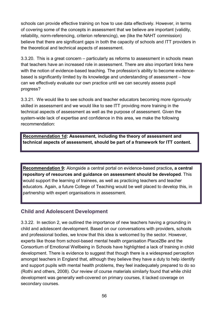schools can provide effective training on how to use data effectively. However, in terms of covering some of the concepts in assessment that we believe are important (validity, reliability, norm-referencing, criterion referencing), we (like the NAHT commission) believe that there are significant gaps in both the capacity of schools and ITT providers in the theoretical and technical aspects of assessment.

3.3.20. This is a great concern – particularly as reforms to assessment in schools mean that teachers have an increased role in assessment. There are also important links here with the notion of evidence-based teaching. The profession's ability to become evidencebased is significantly limited by its knowledge and understanding of assessment – how can we effectively evaluate our own practice until we can securely assess pupil progress?

3.3.21. We would like to see schools and teacher educators becoming more rigorously skilled in assessment and we would like to see ITT providing more training in the technical aspects of assessment as well as the purpose of assessment. Given the system-wide lack of expertise and confidence in this area, we make the following recommendation:

**Recommendation 1d: Assessment, including the theory of assessment and technical aspects of assessment, should be part of a framework for ITT content.**

**Recommendation 9:** Alongside a central portal on evidence-based practice**, a central repository of resources and guidance on assessment should be developed**. This would support the learning of trainees, as well as practicing teachers and teacher educators. Again, a future College of Teaching would be well placed to develop this, in partnership with expert organisations in assessment.

#### **Child and Adolescent Development**

3.3.22. In section 2, we outlined the importance of new teachers having a grounding in child and adolescent development. Based on our conversations with providers, schools and professional bodies, we know that this idea is welcomed by the sector. However, experts like those from school-based mental health organisation Place2Be and the Consortium of Emotional Wellbeing in Schools have highlighted a lack of training in child development. There is evidence to suggest that though there is a widespread perception amongst teachers in England that, although they believe they have a duty to help identify and support pupils with mental health problems, they feel inadequately prepared to do so (Rothi and others, 2008). Our review of course materials similarly found that while child development was generally well-covered on primary courses, it lacked coverage on secondary courses.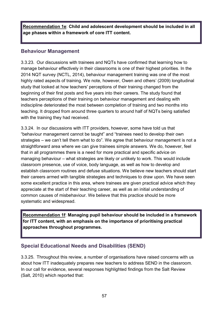**Recommendation 1e**: **Child and adolescent development should be included in all age phases within a framework of core ITT content.**

#### **Behaviour Management**

3.3.23. Our discussions with trainees and NQTs have confirmed that learning how to manage behaviour effectively in their classrooms is one of their highest priorities. In the 2014 NQT survey (NCTL, 2014), behaviour management training was one of the most highly rated aspects of training. We note, however, Owen and others' (2009) longitudinal study that looked at how teachers' perceptions of their training changed from the beginning of their first posts and five years into their careers. The study found that teachers perceptions of their training on behaviour management and dealing with indiscipline deteriorated the most between completion of training and two months into teaching. It dropped from around three quarters to around half of NQTs being satisfied with the training they had received.

3.3.24. In our discussions with ITT providers, however, some have told us that "behaviour management cannot be taught" and "trainees need to develop their own strategies – we can't tell them what to do". We agree that behaviour management is not a straightforward area where we can give trainees simple answers. We do, however, feel that in all programmes there is a need for more practical and specific advice on managing behaviour – what strategies are likely or unlikely to work. This would include classroom presence, use of voice, body language, as well as how to develop and establish classroom routines and defuse situations. We believe new teachers should start their careers armed with tangible strategies and techniques to draw upon. We have seen some excellent practice in this area, where trainees are given practical advice which they appreciate at the start of their teaching career, as well as an initial understanding of common causes of misbehaviour. We believe that this practice should be more systematic and widespread.

**Recommendation 1f**: **Managing pupil behaviour should be included in a framework for ITT content, with an emphasis on the importance of prioritising practical approaches throughout programmes.**

### **Special Educational Needs and Disabilities (SEND)**

3.3.25. Throughout this review, a number of organisations have raised concerns with us about how ITT inadequately prepares new teachers to address SEND in the classroom. In our call for evidence, several responses highlighted findings from the Salt Review (Salt, 2010) which reported that: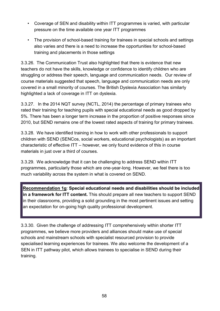- *•* Coverage of SEN and disability within ITT programmes is varied, with particular pressure on the time available one year ITT programmes
- *•* The provision of school-based training for trainees in special schools and settings also varies and there is a need to increase the opportunities for school-based training and placements in those settings

3.3.26. The Communication Trust also highlighted that there is evidence that new teachers do not have the skills, knowledge or confidence to identify children who are struggling or address their speech, language and communication needs. Our review of course materials suggested that speech, language and communication needs are only covered in a small minority of courses. The British Dyslexia Association has similarly highlighted a lack of coverage in ITT on dyslexia.

3.3.27. In the 2014 NQT survey (NCTL, 2014) the percentage of primary trainees who rated their training for teaching pupils with special educational needs as good dropped by 5%. There has been a longer term increase in the proportion of positive responses since 2010, but SEND remains one of the lowest rated aspects of training for primary trainees.

3.3.28. We have identified training in how to work with other professionals to support children with SEND (SENCos, social workers, educational psychologists) as an important characteristic of effective ITT – however, we only found evidence of this in course materials in just over a third of courses.

3.3.29. We acknowledge that it can be challenging to address SEND within ITT programmes, particularly those which are one-year-long. However, we feel there is too much variability across the system in what is covered on SEND.

**Recommendation 1g**: **Special educational needs and disabilities should be included in a framework for ITT content.** This should prepare all new teachers to support SEND in their classrooms, providing a solid grounding in the most pertinent issues and setting an expectation for on-going high quality professional development.

3.3.30. Given the challenge of addressing ITT comprehensively within shorter ITT programmes, we believe more providers and alliances should make use of special schools and mainstream schools with specialist resourced provision to provide specialised learning experiences for trainees. We also welcome the development of a SEN in ITT pathway pilot, which allows trainees to specialise in SEND during their training.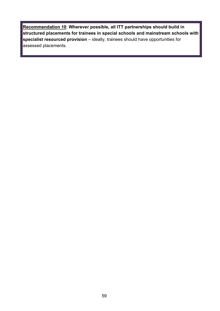**Recommendation 10**: **Wherever possible, all ITT partnerships should build in structured placements for trainees in special schools and mainstream schools with specialist resourced provision** – ideally, trainees should have opportunities for assessed placements.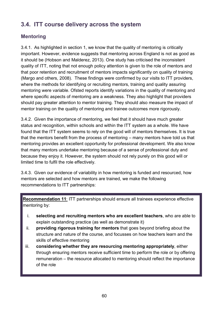# **3.4. ITT course delivery across the system**

## **Mentoring**

3.4.1. As highlighted in section 1, we know that the quality of mentoring is critically important. However, evidence suggests that mentoring across England is not as good as it should be (Hobson and Malderez, 2013). One study has criticised the inconsistent quality of ITT, noting that not enough policy attention is given to the role of mentors and that poor retention and recruitment of mentors impacts significantly on quality of training (Margo and others, 2008). These findings were confirmed by our visits to ITT providers, where the methods for identifying or recruiting mentors, training and quality assuring mentoring were variable. Ofsted reports identify variations in the quality of mentoring and where specific aspects of mentoring are a weakness. They also highlight that providers should pay greater attention to mentor training. They should also measure the impact of mentor training on the quality of mentoring and trainee outcomes more rigorously.

3.4.2. Given the importance of mentoring, we feel that it should have much greater status and recognition, within schools and within the ITT system as a whole. We have found that the ITT system seems to rely on the good will of mentors themselves. It is true that the mentors benefit from the process of mentoring – many mentors have told us that mentoring provides an excellent opportunity for professional development. We also know that many mentors undertake mentoring because of a sense of professional duty and because they enjoy it. However, the system should not rely purely on this good will or limited time to fulfil the role effectively.

3.4.3. Given our evidence of variability in how mentoring is funded and resourced, how mentors are selected and how mentors are trained, we make the following recommendations to ITT partnerships:

**Recommendation 11**: ITT partnerships should ensure all trainees experience effective mentoring by:

- i. **selecting and recruiting mentors who are excellent teachers**, who are able to explain outstanding practice (as well as demonstrate it)
- ii. **providing rigorous training for mentors** that goes beyond briefing about the structure and nature of the course, and focusses on how teachers learn and the skills of effective mentoring
- iii. **considering whether they are resourcing mentoring appropriately**, either through ensuring mentors receive sufficient time to perform the role or by offering remuneration – the resource allocated to mentoring should reflect the importance of the role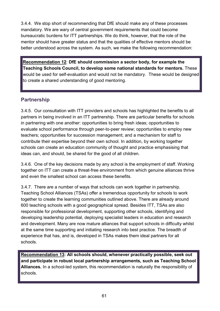3.4.4. We stop short of recommending that DfE should make any of these processes mandatory. We are wary of central government requirements that could become bureaucratic burdens for ITT partnerships. We do think, however, that the role of the mentor should have greater status and that the qualities of effective mentors should be better understood across the system. As such, we make the following recommendation:

**Recommendation 12**: **DfE should commission a sector body, for example the Teaching Schools Council, to develop some national standards for mentors.** These would be used for self-evaluation and would not be mandatory. These would be designed to create a shared understanding of good mentoring.

#### **Partnership**

3.4.5. Our consultation with ITT providers and schools has highlighted the benefits to all partners in being involved in an ITT partnership. There are particular benefits for schools in partnering with one another: opportunities to bring fresh ideas; opportunities to evaluate school performance through peer-to-peer review; opportunities to employ new teachers; opportunities for succession management; and a mechanism for staff to contribute their expertise beyond their own school. In addition, by working together schools can create an education community of thought and practice emphasising that ideas can, and should, be shared for the good of all children.

3.4.6. One of the key decisions made by any school is the employment of staff. Working together on ITT can create a threat-free environment from which genuine alliances thrive and even the smallest school can access these benefits.

3.4.7. There are a number of ways that schools can work together in partnership. Teaching School Alliances (TSAs) offer a tremendous opportunity for schools to work together to create the learning communities outlined above. There are already around 600 teaching schools with a good geographical spread. Besides ITT, TSAs are also responsible for professional development, supporting other schools, identifying and developing leadership potential, deploying specialist leaders in education and research and development. Many are now mature alliances that support schools in difficulty whilst at the same time supporting and initiating research into best practice. The breadth of experience that has, and is, developed in TSAs makes them ideal partners for all schools.

**Recommendation 13: All schools should, whenever practically possible, seek out and participate in robust local partnership arrangements, such as Teaching School Alliances.** In a school-led system, this recommendation is naturally the responsibility of schools.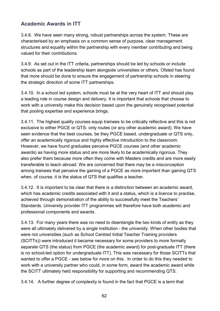## **Academic Awards in ITT**

3.4.8. We have seen many strong, robust partnerships across the system. These are characterised by an emphasis on a common sense of purpose, clear management structures and equality within the partnership with every member contributing and being valued for their contributions.

3.4.9. As set out in the ITT criteria, partnerships should be led by schools or include schools as part of the leadership team alongside universities or others. Ofsted has found that more should be done to ensure the engagement of partnership schools in steering the strategic direction of some ITT partnerships.

3.4.10. In a school led system, schools must be at the very heart of ITT and should play a leading role in course design and delivery. It is important that schools that choose to work with a university make this decision based upon the genuinely recognised potential that pooling expertise and experience brings.

3.4.11. The highest quality courses equip trainees to be critically reflective and this is not exclusive to either PGCE or QTS- only routes (or any other academic award). We have seen evidence that the best courses, be they PGCE based, undergraduate or QTS only, offer an academically rigorous and highly effective introduction to the classroom. However, we have found graduates perceive PGCE courses (and other academic awards) as having more status and are more likely to be academically rigorous. They also prefer them because more often they come with Masters credits and are more easily transferable to teach abroad. We are concerned that there may be a misconception among trainees that perceive the gaining of a PGCE as more important than gaining QTS when, of course, it is the status of QTS that qualifies a teacher.

3.4.12. It is important to be clear that there is a distinction between an academic award, which has academic credits associated with it and a status, which is a licence to practise, achieved through demonstration of the ability to successfully meet the Teachers' Standards. University provider ITT programmes will therefore have both academic and professional components and awards.

3.4.13. For many years there was no need to disentangle the two kinds of entity as they were all ultimately delivered by a single institution - the university. When other bodies that were not universities (such as School Centred Initial Teacher Training providers (SCITTs)) were introduced it became necessary for some providers to more formally separate QTS (the status) from PGCE (the academic award) for post-graduate ITT (there is no school-led option for undergraduate ITT). This was necessary for those SCITTs that wanted to offer a PGCE - see below for more on this. In order to do this they needed to work with a university partner who could, in some form, award the academic award while the SCITT ultimately held responsibility for supporting and recommending QTS.

3.4.14. A further degree of complexity is found in the fact that PGCE is a term that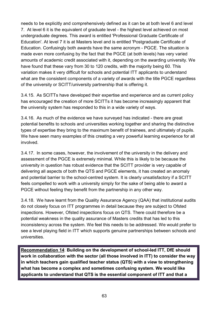needs to be explicitly and comprehensively defined as it can be at both level 6 and level 7. At level 6 it is the equivalent of graduate level - the highest level achieved on most undergraduate degrees. This award is entitled 'Professional Graduate Certificate of Education'. At level 7 it is at Masters level and is entitled 'Postgraduate Certificate of Education. Confusingly both awards have the same acronym - PGCE. The situation is made even more confusing by the fact that the PGCE (at both levels) has very varied amounts of academic credit associated with it, depending on the awarding university. We have found that these vary from 30 to 120 credits, with the majority being 60. This variation makes it very difficult for schools and potential ITT applicants to understand what are the consistent components of a variety of awards with the title PGCE regardless of the university or SCITT/university partnership that is offering it.

3.4.15. As SCITTs have developed their expertise and experience and as current policy has encouraged the creation of more SCITTs it has become increasingly apparent that the university system has responded to this in a wide variety of ways.

3.4.16. As much of the evidence we have surveyed has indicated - there are great potential benefits to schools and universities working together and sharing the distinctive types of expertise they bring to the maximum benefit of trainees, and ultimately of pupils. We have seen many examples of this creating a very powerful learning experience for all involved.

3.4.17. In some cases, however, the involvement of the university in the delivery and assessment of the PGCE is extremely minimal. While this is likely to be because the university in question has robust evidence that the SCITT provider is very capable of delivering all aspects of both the QTS and PGCE elements, it has created an anomaly and potential barrier to the school-centred system. It is clearly unsatisfactory if a SCITT feels compelled to work with a university simply for the sake of being able to award a PGCE without feeling they benefit from the partnership in any other way.

3.4.18. We have learnt from the Quality Assurance Agency (QAA) that institutional audits do not closely focus on ITT programmes in detail because they are subject to Ofsted inspections. However, Ofsted inspections focus on QTS. There could therefore be a potential weakness in the quality assurance of Masters credits that has led to this inconsistency across the system. We feel this needs to be addressed. We would prefer to see a level playing field in ITT which supports genuine partnerships between schools and universities.

**Recommendation 14**: **Building on the development of school-led ITT, DfE should work in collaboration with the sector (all those involved in ITT) to consider the way in which teachers gain qualified teacher status (QTS) with a view to strengthening what has become a complex and sometimes confusing system. We would like applicants to understand that QTS is the essential component of ITT and that a**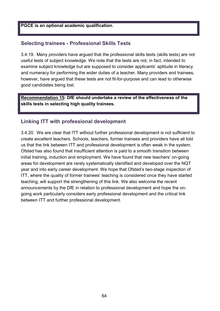#### **PGCE is an optional academic qualification.**

#### **Selecting trainees - Professional Skills Tests**

3.4.19. Many providers have argued that the professional skills tests (skills tests) are not useful tests of subject knowledge. We note that the tests are not, in fact, intended to examine subject knowledge but are supposed to consider applicants' aptitude in literacy and numeracy for performing the wider duties of a teacher. Many providers and trainees, however, have argued that these tests are not fit-for-purpose and can lead to otherwise good candidates being lost.

**Recommendation 15: DfE should undertake a review of the effectiveness of the skills tests in selecting high quality trainees.**

#### **Linking ITT with professional development**

3.4.20. We are clear that ITT without further professional development is not sufficient to create excellent teachers. Schools, teachers, former trainees and providers have all told us that the link between ITT and professional development is often weak in the system. Ofsted has also found that insufficient attention is paid to a smooth transition between initial training, induction and employment. We have found that new teachers' on-going areas for development are rarely systematically identified and developed over the NQT year and into early career development. We hope that Ofsted's two-stage inspection of ITT, where the quality of former trainees' teaching is considered once they have started teaching, will support the strengthening of this link. We also welcome the recent announcements by the DfE in relation to professional development and hope the ongoing work particularly considers early professional development and the critical link between ITT and further professional development.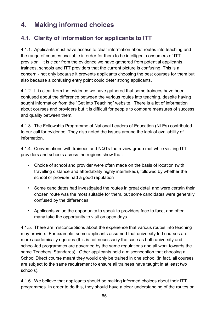# **4. Making informed choices**

## **4.1. Clarity of information for applicants to ITT**

4.1.1. Applicants must have access to clear information about routes into teaching and the range of courses available in order for them to be intelligent consumers of ITT provision. It is clear from the evidence we have gathered from potential applicants, trainees, schools and ITT providers that the current picture is confusing. This is a concern - not only because it prevents applicants choosing the best courses for them but also because a confusing entry point could deter strong applicants.

4.1.2. It is clear from the evidence we have gathered that some trainees have been confused about the difference between the various routes into teaching, despite having sought information from the "Get into Teaching" website. There is a lot of information about courses and providers but it is difficult for people to compare measures of success and quality between them.

4.1.3. The Fellowship Programme of National Leaders of Education (NLEs) contributed to our call for evidence. They also noted the issues around the lack of availability of information.

4.1.4. Conversations with trainees and NQTs the review group met while visiting ITT providers and schools across the regions show that:

- *•* Choice of school and provider were often made on the basis of location (with travelling distance and affordability highly interlinked), followed by whether the school or provider had a good reputation
- *•* Some candidates had investigated the routes in great detail and were certain their chosen route was the most suitable for them, but some candidates were generally confused by the differences
- *•* Applicants value the opportunity to speak to providers face to face, and often many take the opportunity to visit on open days

4.1.5. There are misconceptions about the experience that various routes into teaching may provide. For example, some applicants assumed that university-led courses are more academically rigorous (this is not necessarily the case as both university and school-led programmes are governed by the same regulations and all work towards the same Teachers' Standards). Other applicants held a misconception that choosing a School Direct course meant they would only be trained in one school (in fact, all courses are subject to the same requirement to ensure all trainees have taught in at least two schools).

4.1.6. We believe that applicants should be making informed choices about their ITT programmes. In order to do this, they should have a clear understanding of the routes on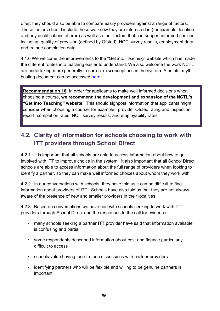offer; they should also be able to compare easily providers against a range of factors. These factors should include those we know they are interested in (for example, location and any qualifications offered) as well as other factors that can support informed choices, including: quality of provision (defined by Ofsted), NQT survey results, employment data and trainee completion data.

4.1.6 We welcome the improvements to the "Get into Teaching" website which has made the different routes into teaching easier to understand. We also welcome the work NCTL are undertaking more generally to correct misconceptions in the system. A helpful mythbusting document can be accessed [here.](http://www.education.gov.uk/get-into-teaching/teacher-training-options/school-based-training/myth-busting)

**Recommendation 16:** In order for applicants to make well informed decisions when choosing a course, **we recommend the development and expansion of the NCTL's "Get into Teaching" website**. This should signpost information that applicants might consider when choosing a course, for example: provider Ofsted rating and inspection report; completion rates; NQT survey results; and employability rates.

# **4.2. Clarity of information for schools choosing to work with ITT providers through School Direct**

4.2.1. It is important that all schools are able to access information about how to get involved with ITT to improve choice in the system. It also important that all School Direct schools are able to access information about the full range of providers when looking to identify a partner, so they can make well informed choices about whom they work with.

4.2.2. In our conversations with schools, they have told us it can be difficult to find information about providers of ITT. Schools have also told us that they are not always aware of the presence of new and smaller providers in their localities.

4.2.3. Based on conversations we have had with schools seeking to work with ITT providers through School Direct and the responses to the call for evidence:

- *•* many schools seeking a partner ITT provider have said that information available is confusing and partial
- *•* some respondents described information about cost and finance particularly difficult to access
- *•* schools value having face-to-face discussions with partner providers
- *•* identifying partners who will be flexible and willing to be genuine partners is important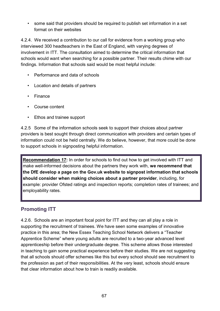*•* some said that providers should be required to publish set information in a set format on their websites

4.2.4. We received a contribution to our call for evidence from a working group who interviewed 300 headteachers in the East of England, with varying degrees of involvement in ITT. The consultation aimed to determine the critical information that schools would want when searching for a possible partner. Their results chime with our findings. Information that schools said would be most helpful include:

- *•* Performance and data of schools
- *•* Location and details of partners
- *•* Finance
- *•* Course content
- *•* Ethos and trainee support

4.2.5 Some of the information schools seek to support their choices about partner providers is best sought through direct communication with providers and certain types of information could not be held centrally. We do believe, however, that more could be done to support schools in signposting helpful information.

**Recommendation 17:** In order for schools to find out how to get involved with ITT and make well-informed decisions about the partners they work with, **we recommend that the DfE develop a page on the Gov.uk website to signpost information that schools should consider when making choices about a partner provider**, including, for example: provider Ofsted ratings and inspection reports; completion rates of trainees; and employability rates.

## **Promoting ITT**

4.2.6. Schools are an important focal point for ITT and they can all play a role in supporting the recruitment of trainees. We have seen some examples of innovative practice in this area; the New Essex Teaching School Network delivers a "Teacher Apprentice Scheme" where young adults are recruited to a two-year advanced level apprenticeship before their undergraduate degree. This scheme allows those interested in teaching to gain some practical experience before their studies. We are not suggesting that all schools should offer schemes like this but every school should see recruitment to the profession as part of their responsibilities. At the very least, schools should ensure that clear information about how to train is readily available.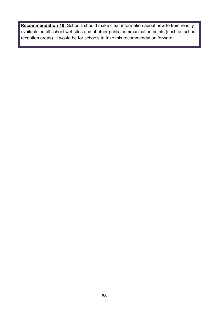**Recommendation 18:** Schools should make clear information about how to train readily available on all school websites and at other public communication points (such as school reception areas). It would be for schools to take this recommendation forward.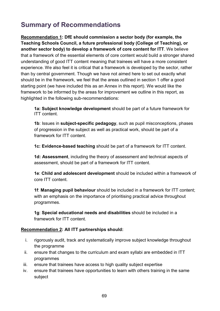# **Summary of Recommendations**

**Recommendation 1: DfE should commission a sector body (for example, the Teaching Schools Council, a future professional body (College of Teaching), or another sector body) to develop a framework of core content for ITT**. We believe that a framework of the essential elements of core content would build a stronger shared understanding of good ITT content meaning that trainees will have a more consistent experience. We also feel it is critical that a framework is developed by the sector, rather than by central government. Though we have not aimed here to set out exactly what should be in the framework, we feel that the areas outlined in section 1 offer a good starting point (we have included this as an Annex in this report). We would like the framework to be informed by the areas for improvement we outline in this report, as highlighted in the following sub-recommendations:

**1a: Subject knowledge development** should be part of a future framework for ITT content.

**1b**: Issues in **subject-specific pedagogy**, such as pupil misconceptions, phases of progression in the subject as well as practical work, should be part of a framework for ITT content.

**1c: Evidence-based teaching** should be part of a framework for ITT content.

**1d: Assessment**, including the theory of assessment and technical aspects of assessment, should be part of a framework for ITT content.

**1e**: **Child and adolescent development** should be included within a framework of core ITT content.

**1f**: **Managing pupil behaviour** should be included in a framework for ITT content; with an emphasis on the importance of prioritising practical advice throughout programmes.

**1g**: **Special educational needs and disabilities** should be included in a framework for ITT content.

#### **Recommendation 2: All ITT partnerships should:**

- i. rigorously audit, track and systematically improve subject knowledge throughout the programme
- ii. ensure that changes to the curriculum and exam syllabi are embedded in ITT programmes
- iii. ensure that trainees have access to high quality subject expertise
- iv. ensure that trainees have opportunities to learn with others training in the same subject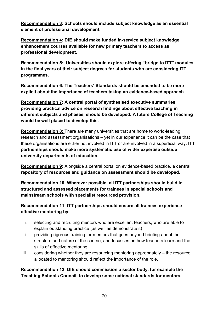**Recommendation 3: Schools should include subject knowledge as an essential element of professional development.**

**Recommendation 4: DfE should make funded in-service subject knowledge enhancement courses available for new primary teachers to access as professional development.**

**Recommendation 5: Universities should explore offering "bridge to ITT" modules in the final years of their subject degrees for students who are considering ITT programmes.** 

**Recommendation 6: The Teachers' Standards should be amended to be more explicit about the importance of teachers taking an evidence-based approach.** 

**Recommendation 7: A central portal of synthesised executive summaries, providing practical advice on research findings about effective teaching in different subjects and phases, should be developed. A future College of Teaching would be well placed to develop this.** 

**Recommendation 8:** There are many universities that are home to world-leading research and assessment organisations – yet in our experience it can be the case that these organisations are either not involved in ITT or are involved in a superficial way**. ITT partnerships should make more systematic use of wider expertise outside university departments of education.**

**Recommendation 9:** Alongside a central portal on evidence-based practice, **a central repository of resources and guidance on assessment should be developed.** 

**Recommendation 10: Wherever possible, all ITT partnerships should build in structured and assessed placements for trainees in special schools and mainstream schools with specialist resourced provision**.

#### **Recommendation 11: ITT partnerships should ensure all trainees experience effective mentoring by:**

- i. selecting and recruiting mentors who are excellent teachers, who are able to explain outstanding practice (as well as demonstrate it)
- ii. providing rigorous training for mentors that goes beyond briefing about the structure and nature of the course, and focusses on how teachers learn and the skills of effective mentoring
- iii. considering whether they are resourcing mentoring appropriately the resource allocated to mentoring should reflect the importance of the role.

**Recommendation 12: DfE should commission a sector body, for example the Teaching Schools Council, to develop some national standards for mentors.**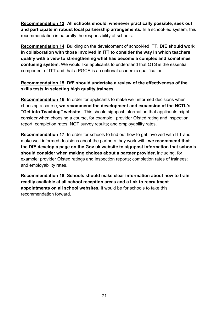**Recommendation 13: All schools should, whenever practically possible, seek out and participate in robust local partnership arrangements.** In a school-led system, this recommendation is naturally the responsibility of schools.

**Recommendation 14:** Building on the development of school-led ITT, **DfE should work in collaboration with those involved in ITT to consider the way in which teachers qualify with a view to strengthening what has become a complex and sometimes confusing system.** We would like applicants to understand that QTS is the essential component of ITT and that a PGCE is an optional academic qualification.

#### **Recommendation 15: DfE should undertake a review of the effectiveness of the skills tests in selecting high quality trainees.**

**Recommendation 16:** In order for applicants to make well informed decisions when choosing a course, **we recommend the development and expansion of the NCTL's "Get into Teaching" website**. This should signpost information that applicants might consider when choosing a course, for example: provider Ofsted rating and inspection report; completion rates; NQT survey results; and employability rates.

**Recommendation 17:** In order for schools to find out how to get involved with ITT and make well-informed decisions about the partners they work with, **we recommend that the DfE develop a page on the Gov.uk website to signpost information that schools should consider when making choices about a partner provider**, including, for example: provider Ofsted ratings and inspection reports; completion rates of trainees; and employability rates.

**Recommendation 18: Schools should make clear information about how to train readily available at all school reception areas and a link to recruitment appointments on all school websites.** It would be for schools to take this recommendation forward.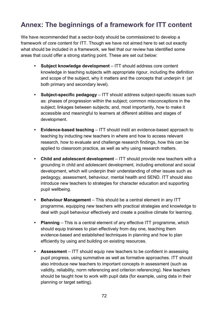# **Annex: The beginnings of a framework for ITT content**

We have recommended that a sector-body should be commissioned to develop a framework of core content for ITT. Though we have not aimed here to set out exactly what should be included in a framework, we feel that our review has identified some areas that could offer a strong starting point. These are set out below:

- **• Subject knowledge development** ITT should address core content knowledge in teaching subjects with appropriate rigour, including the definition and scope of the subject, why it matters and the concepts that underpin it (at both primary and secondary level).
- **• Subject-specific pedagogy**  ITT should address subject-specific issues such as: phases of progression within the subject; common misconceptions in the subject; linkages between subjects; and, most importantly, how to make it accessible and meaningful to learners at different abilities and stages of development.
- **• Evidence-based teaching**  ITT should instil an evidence-based approach to teaching by inducting new teachers in where and how to access relevant research, how to evaluate and challenge research findings, how this can be applied to classroom practice, as well as why using research matters.
- **• Child and adolescent development** ITT should provide new teachers with a grounding in child and adolescent development, including emotional and social development, which will underpin their understanding of other issues such as pedagogy, assessment, behaviour, mental health and SEND. ITT should also introduce new teachers to strategies for character education and supporting pupil wellbeing.
- **• Behaviour Management**  This should be a central element in any ITT programme, equipping new teachers with practical strategies and knowledge to deal with pupil behaviour effectively and create a positive climate for learning.
- **• Planning** This is a central element of any effective ITT programme, which should equip trainees to plan effectively from day one, teaching them evidence-based and established techniques in planning and how to plan efficiently by using and building on existing resources.
- **• Assessment** ITT should equip new teachers to be confident in assessing pupil progress, using summative as well as formative approaches. ITT should also introduce new teachers to important concepts in assessment (such as validity, reliability, norm referencing and criterion referencing). New teachers should be taught how to work with pupil data (for example, using data in their planning or target setting).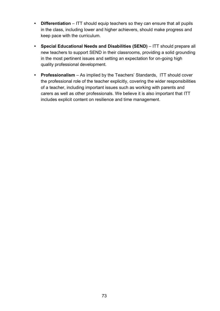- **• Differentiation**  ITT should equip teachers so they can ensure that all pupils in the class, including lower and higher achievers, should make progress and keep pace with the curriculum.
- **• Special Educational Needs and Disabilities (SEND)**  ITT should prepare all new teachers to support SEND in their classrooms, providing a solid grounding in the most pertinent issues and setting an expectation for on-going high quality professional development.
- **• Professionalism**  As implied by the Teachers' Standards, ITT should cover the professional role of the teacher explicitly, covering the wider responsibilities of a teacher, including important issues such as working with parents and carers as well as other professionals. We believe it is also important that ITT includes explicit content on resilience and time management.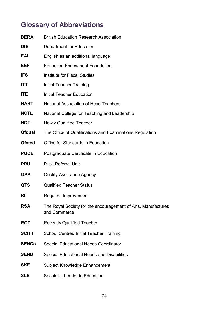# **Glossary of Abbreviations**

| BERA         | <b>British Education Research Association</b>                                 |
|--------------|-------------------------------------------------------------------------------|
| DfE          | Department for Education                                                      |
| EAL          | English as an additional language                                             |
| EEF          | <b>Education Endowment Foundation</b>                                         |
| IFS          | <b>Institute for Fiscal Studies</b>                                           |
| ITT          | <b>Initial Teacher Training</b>                                               |
| <b>ITE</b>   | <b>Initial Teacher Education</b>                                              |
| NAHT         | <b>National Association of Head Teachers</b>                                  |
| NCTL         | National College for Teaching and Leadership                                  |
| NQT          | <b>Newly Qualified Teacher</b>                                                |
| Ofqual       | The Office of Qualifications and Examinations Regulation                      |
| Ofsted       | Office for Standards in Education                                             |
| <b>PGCE</b>  | Postgraduate Certificate in Education                                         |
| PRU          | <b>Pupil Referral Unit</b>                                                    |
| QAA          | <b>Quality Assurance Agency</b>                                               |
| QTS          | <b>Qualified Teacher Status</b>                                               |
| RI           | Requires Improvement                                                          |
| RSA          | The Royal Society for the encouragement of Arts, Manufactures<br>and Commerce |
| RQT          | <b>Recently Qualified Teacher</b>                                             |
| <b>SCITT</b> | <b>School Centred Initial Teacher Training</b>                                |
| SENCo        | <b>Special Educational Needs Coordinator</b>                                  |
| <b>SEND</b>  | Special Educational Needs and Disabilities                                    |
| SKE          | Subject Knowledge Enhancement                                                 |
| SLE          | <b>Specialist Leader in Education</b>                                         |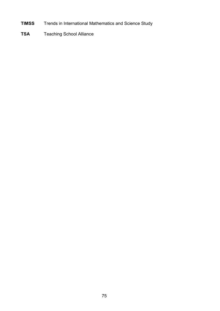- **TIMSS** Trends in International Mathematics and Science Study
- **TSA** Teaching School Alliance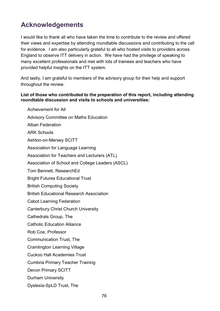### **Acknowledgements**

I would like to thank all who have taken the time to contribute to the review and offered their views and expertise by attending roundtable discussions and contributing to the call for evidence. I am also particularly grateful to all who hosted visits to providers across England to observe ITT delivery in action. We have had the privilege of speaking to many excellent professionals and met with lots of trainees and teachers who have provided helpful insights on the ITT system.

And lastly, I am grateful to members of the advisory group for their help and support throughout the review.

#### **List of those who contributed to the preparation of this report, including attending roundtable discussion and visits to schools and universities:**

Achievement for All Advisory Committee on Maths Education Alban Federation ARK Schools Ashton-on-Mersey SCITT Association for Language Learning Association for Teachers and Lecturers (ATL) Association of School and College Leaders (ASCL) Tom Bennett, ResearchEd Bright Futures Educational Trust British Computing Society British Educational Research Association Cabot Learning Federation Canterbury Christ Church University Cathedrals Group, The Catholic Education Alliance Rob Coe, Professor Communication Trust, The Cramlington Learning Village Cuckoo Hall Academies Trust Cumbria Primary Teacher Training Devon Primary SCITT Durham University Dyslexia-SpLD Trust, The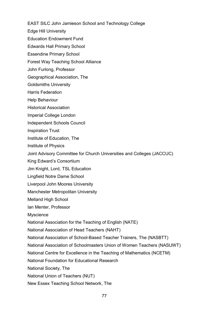EAST SILC John Jamieson School and Technology College

Edge Hill University

Education Endowment Fund

Edwards Hall Primary School

Essendine Primary School

Forest Way Teaching School Alliance

John Furlong, Professor

Geographical Association, The

Goldsmiths University

Harris Federation

Help Behaviour

Historical Association

Imperial College London

Independent Schools Council

Inspiration Trust

Institute of Education, The

Institute of Physics

Joint Advisory Committee for Church Universities and Colleges (JACCUC)

King Edward's Consortium

Jim Knight, Lord, TSL Education

Lingfield Notre Dame School

Liverpool John Moores University

Manchester Metropolitan University

Melland High School

Ian Menter, Professor

**Myscience** 

National Association for the Teaching of English (NATE)

National Association of Head Teachers (NAHT)

National Association of School-Based Teacher Trainers, The (NASBTT)

National Association of Schoolmasters Union of Women Teachers (NASUWT)

National Centre for Excellence in the Teaching of Mathematics (NCETM)

National Foundation for Educational Research

National Society, The

National Union of Teachers (NUT)

New Essex Teaching School Network, The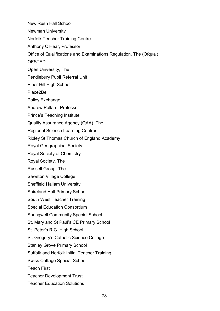New Rush Hall School Newman University Norfolk Teacher Training Centre Anthony O'Hear, Professor Office of Qualifications and Examinations Regulation, The (Ofqual) OFSTED Open University, The Pendlebury Pupil Referral Unit Piper Hill High School Place2Be Policy Exchange Andrew Pollard, Professor Prince's Teaching Institute Quality Assurance Agency (QAA), The Regional Science Learning Centres Ripley St Thomas Church of England Academy Royal Geographical Society Royal Society of Chemistry Royal Society, The Russell Group, The Sawston Village College Sheffield Hallam University Shireland Hall Primary School South West Teacher Training Special Education Consortium Springwell Community Special School St. Mary and St Paul's CE Primary School St. Peter's R.C. High School St. Gregory's Catholic Science College Stanley Grove Primary School Suffolk and Norfolk Initial Teacher Training Swiss Cottage Special School Teach First Teacher Development Trust Teacher Education Solutions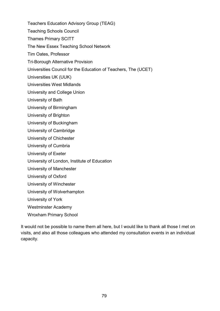Teachers Education Advisory Group (TEAG)

Teaching Schools Council

Thames Primary SCITT

The New Essex Teaching School Network

Tim Oates, Professor

Tri-Borough Alternative Provision

Universities Council for the Education of Teachers, The (UCET)

Universities UK (UUK)

Universities West Midlands

University and College Union

University of Bath

University of Birmingham

University of Brighton

University of Buckingham

University of Cambridge

University of Chichester

University of Cumbria

University of Exeter

University of London, Institute of Education

University of Manchester

University of Oxford

University of Winchester

University of Wolverhampton

University of York

Westminster Academy

Wroxham Primary School

It would not be possible to name them all here, but I would like to thank all those I met on visits, and also all those colleagues who attended my consultation events in an individual capacity.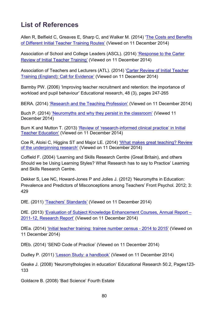## **List of References**

Allen R, Belfield C, Greaves E, Sharp C, and Walker M. (2014) 'The Costs and [Benefits](http://www.ifs.org.uk/uploads/publications/comms/r100.pdf) of [Different](http://www.ifs.org.uk/uploads/publications/comms/r100.pdf) Initial Teacher Training Routes' (Viewed on 11 December 2014)

Association of School and College Leaders (ASCL). (2014) ['Response](http://www.ascl.org.uk/news-and-views/consultation-responses_news-detail.html?id=response-to-the-carter-review-of-initial-teacher-training) to the Carter Review of Initial Teacher [Training'](http://www.ascl.org.uk/news-and-views/consultation-responses_news-detail.html?id=response-to-the-carter-review-of-initial-teacher-training) (Viewed on 11 December 2014)

Association of Teachers and Lecturers (ATL). (2014) 'Carter Review of Initial [Teacher](https://www.atl.org.uk/Images/ATL_Response_to_Carter_Review_of_Initial_Teacher_Training_September_2014.pdf) Training [\(England\):](https://www.atl.org.uk/Images/ATL_Response_to_Carter_Review_of_Initial_Teacher_Training_September_2014.pdf) Call for Evidence' (Viewed on 11 December 2014)

Barmby PW. (2006) 'Improving teacher recruitment and retention: the importance of workload and pupil behaviour' Educational research, 48 (3), pages 247-265

BERA. (2014) ['Research and the Teaching Profession'](https://www.bera.ac.uk/wp-content/uploads/2013/12/BERA-RSA-Research-Teaching-Profession-FULL-REPORT-for-web.pdf) (Viewed on 11 December 2014)

Buch P. (2014) ['Neuromyths and why they persist in the classroom'](http://www.senseaboutscience.org/blog.php/77/neuromyths-and-why-they-persist-in-the-classroom) (Viewed 11 December 2014)

Burn K and Mutton T. (2013) ['Review of 'research-informed clinical practice'](https://www.bera.ac.uk/wp-content/uploads/2014/02/BERA-Paper-4-Research-informed-clinical-practice.pdf) in Initial [Teacher Education'](https://www.bera.ac.uk/wp-content/uploads/2014/02/BERA-Paper-4-Research-informed-clinical-practice.pdf) (Viewed on 11 December 2014)

Coe R, Aloisi C, Higgins ST and Major LE. (2014) ['What makes great teaching? Review](http://www.suttontrust.com/wp-content/uploads/2014/10/What-Makes-Great-Teaching-REPORT.pdf)  [of the underpinning research'](http://www.suttontrust.com/wp-content/uploads/2014/10/What-Makes-Great-Teaching-REPORT.pdf) (Viewed on 11 December 2014)

Coffield F. (2004) 'Learning and Skills Research Centre (Great Britain), and others Should we be Using Learning Styles? What Research has to say to Practice' Learning and Skills Research Centre.

Dekker S, Lee NC, Howard-Jones P and Jolles J. (2012) 'Neuromyths in Education: Prevalence and Predictors of Misconceptions among Teachers' Front Psychol. 2012; 3: 429

DfE. (2011) ['Teachers' Standards'](https://www.gov.uk/government/publications/teachers-standards) (Viewed on 11 December 2014)

DfE. (2013) ['Evaluation of Subject Knowledge Enhancement Courses, Annual Report –](https://www.gov.uk/government/uploads/system/uploads/attachment_data/file/224705/DFE-RR301A.pdf) [2011-12, Research Report'](https://www.gov.uk/government/uploads/system/uploads/attachment_data/file/224705/DFE-RR301A.pdf) (Viewed on 11 December 2014)

DfEa. (2014) ['Initial teacher training: trainee number census -](https://www.gov.uk/government/statistics/initial-teacher-training-trainee-number-census-2014-to-2015) 2014 to 2015' (Viewed on 11 December 2014)

DfEb. (2014) 'SEND Code of Practice' (Viewed on 11 December 2014)

Dudley P. (2011) ['Lesson Study: a handbook'](http://lessonstudy.co.uk/wp-content/uploads/2012/03/Lesson_Study_Handbook_-_011011-1.pdf) (Viewed on 11 December 2014)

Geake J. (2008) 'Neuromythologies in education' Educational Research 50.2, Pages123- 133

Goldacre B. (2008) 'Bad Science' Fourth Estate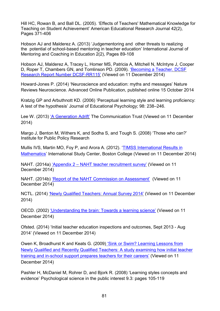Hill HC, Rowan B, and Ball DL. (2005). 'Effects of Teachers' Mathematical Knowledge for Teaching on Student Achievement' American Educational Research Journal 42(2), Pages 371-406

Hobson AJ and Malderez A. (2013) 'Judgementoring and other threats to realizing the potential of school-based mentoring in teacher education' International Journal of Mentoring and Coaching in Education 2(2), Pages 89-108

Hobson AJ, Malderez A, Tracey L, Homer MS, Patricia A, Mitchell N, McIntyre J, Cooper D, Roper T, Chambers GN, and Tomlinson PD. (2009). ['Becoming a Teacher.](http://dera.ioe.ac.uk/11168/1/DCSF-RR115.pdf) DCSF Research Report Number [DCSF-RR115'](http://dera.ioe.ac.uk/11168/1/DCSF-RR115.pdf) (Viewed on 11 December 2014)

Howard-Jones P. (2014) 'Neuroscience and education: myths and messages' Nature Reviews Neuroscience. Advanced Online Publication, published online 15 October 2014

Kratzig GP and Arbuthnott KD. (2006) 'Perceptual learning style and learning proficiency: A test of the hypothesis' Journal of Educational Psychology; 98: 238–246.

Lee W. (2013) 'A [Generation](https://www.thecommunicationtrust.org.uk/media/31961/tct_genadrift.pdf) Adrift' The Communication Trust (Viewed on 11 December 2014)

Margo J, Benton M, Withers K, and Sodha S, and Tough S. (2008) 'Those who can?' Institute for Public Policy Research

Mullis IVS, Martin MO, Foy P, and Arora A. (2012). ['TIMSS International Results in](http://timssandpirls.bc.edu/timss2011/downloads/T11_IR_Mathematics_FullBook.pdf)  [Mathematics'](http://timssandpirls.bc.edu/timss2011/downloads/T11_IR_Mathematics_FullBook.pdf) International Study Center, Boston College (Viewed on 11 December 2014)

NAHT. (2014a) 'Appendix 2 – [NAHT teacher recruitment survey'](https://www.nahtedge.org.uk/Portals/4/EasyDNNNews/Appendix%202%20-%20NAHT%20teacher%20recruitment%20survey%20(September%202014).pdf) (Viewed on 11 December 2014)

NAHT. (2014b) ['Report of the NAHT Commission on Assessment'](http://www.google.co.uk/url?url=http://www.naht.org.uk/assets/assessment-commission-report.pdf&rct=j&frm=1&q=&esrc=s&sa=U&ei=M4WJVLu8EYqAU_W_gLAM&ved=0CBQQFjAA&usg=AFQjCNEh0pwYe7zX8BGHGFIO4XkCzs422Q) (Viewed on 11 December 2014)

NCTL. (2014) 'Newly Qualified [Teachers:](https://www.gov.uk/government/uploads/system/uploads/attachment_data/file/365725/newly-qualified-annual-teachers-survey-2014.pdf) Annual Survey 2014' (Viewed on 11 December 2014)

OECD. (2002) ['Understanding the brain: Towards a learning science'](http://www.oecd.org/edu/ceri/31706603.pdf) (Viewed on 11 December 2014)

Ofsted. (2014) ['Initial teacher education inspections and outcomes, Sept 2013 -](https://www.gov.uk/government/uploads/system/uploads/attachment_data/file/381972/01_0212_ITE_Key_findings.doc) Aug [2014'](https://www.gov.uk/government/uploads/system/uploads/attachment_data/file/381972/01_0212_ITE_Key_findings.doc) (Viewed on 11 December 2014)

Owen K, Broadhurst K and Keats G. (2009) 'Sink or Swim? Learning Lessons from [Newly Qualified and Recently Qualified Teachers: A study examining how initial teacher](http://www.nasuwt.org.uk/groups/public/@recruitmentandevents/documents/nas_download/nasuwt_004854.pdf)  [training and in-school support prepares teachers for their careers'](http://www.nasuwt.org.uk/groups/public/@recruitmentandevents/documents/nas_download/nasuwt_004854.pdf) (Viewed on 11 December 2014)

Pashler H, McDaniel M, Rohrer D, and Bjork R. (2008) 'Learning styles concepts and evidence' Psychological science in the public interest 9.3: pages 105-119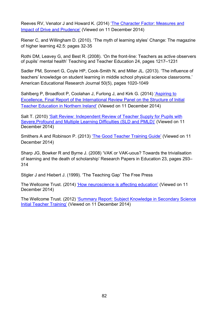Reeves RV, Venator J and Howard K. (2014) 'The Character Factor: [Measures](http://www.brookings.edu/%7E/media/research/files/papers/2014/10/22%20character%20factor%20opportunity%20reeves/22_character_factor_opportunity_reeves.pdf) and Impact of Drive and [Prudence'](http://www.brookings.edu/%7E/media/research/files/papers/2014/10/22%20character%20factor%20opportunity%20reeves/22_character_factor_opportunity_reeves.pdf) (Viewed on 11 December 2014)

Riener C, and Willingham D. (2010). 'The myth of learning styles' Change: The magazine of higher learning 42.5: pages 32-35

Rothi DM, Leavey G, and Best R. (2008). 'On the front-line: Teachers as active observers of pupils' mental health' Teaching and Teacher Education 24, pages 1217–1231

Sadler PM, Sonnert G, Coyle HP, Cook-Smith N, and Miller JL. (2013). 'The influence of teachers' knowledge on student learning in middle school physical science classrooms.' American Educational Research Journal 50(5), pages 1020-1049

Sahlberg P, Broadfoot P, Coolahan J, Furlong J, and Kirk G. (2014) ['Aspiring](http://www.delni.gov.uk/aspiring-to-excellence-review-panel-final-report.pdf) to Excellence, Final Report of the [International](http://www.delni.gov.uk/aspiring-to-excellence-review-panel-final-report.pdf) Review Panel on the Structure of Initial Teacher [Education](http://www.delni.gov.uk/aspiring-to-excellence-review-panel-final-report.pdf) in Northern Ireland' (Viewed on 11 December 2014)

Salt T. (2010) ['Salt Review: Independent Review of Teacher Supply for Pupils with](http://webarchive.nationalarchives.gov.uk/20130401151715/http:/www.education.gov.uk/publications/standard/publicationDetail/Page1/DCSF-00195-2010)  [Severe,Profound and Multiple Learning Difficulties \(SLD and PMLD\)'](http://webarchive.nationalarchives.gov.uk/20130401151715/http:/www.education.gov.uk/publications/standard/publicationDetail/Page1/DCSF-00195-2010) (Viewed on 11 December 2014)

Smithers A and Robinson P. (2013) 'The Good [Teacher](http://www.buckingham.ac.uk/wp-content/uploads/2014/01/GTTG2013.pdf) Training Guide' (Viewed on 11 December 2014)

Sharp JG, Bowker R and Byrne J. (2008) 'VAK or VAK-uous? Towards the trivialisation of learning and the death of scholarship' Research Papers in Education 23, pages 293– 314

Stigler J and Hiebert J. (1999). 'The Teaching Gap' The Free Press

The Wellcome Trust. (2014) ['How neuroscience is affecting education'](http://www.wellcome.ac.uk/stellent/groups/corporatesite/@msh_peda/documents/web_document/WTP055240.pdf) (Viewed on 11 December 2014)

The Wellcome Trust. (2012) ['Summary Report: Subject Knowledge in Secondary](http://www.wellcome.ac.uk/stellent/groups/corporatesite/@msh_peda/documents/web_document/wtvm054387.pdf) Science [Initial Teacher Training'](http://www.wellcome.ac.uk/stellent/groups/corporatesite/@msh_peda/documents/web_document/wtvm054387.pdf) (Viewed on 11 December 2014)